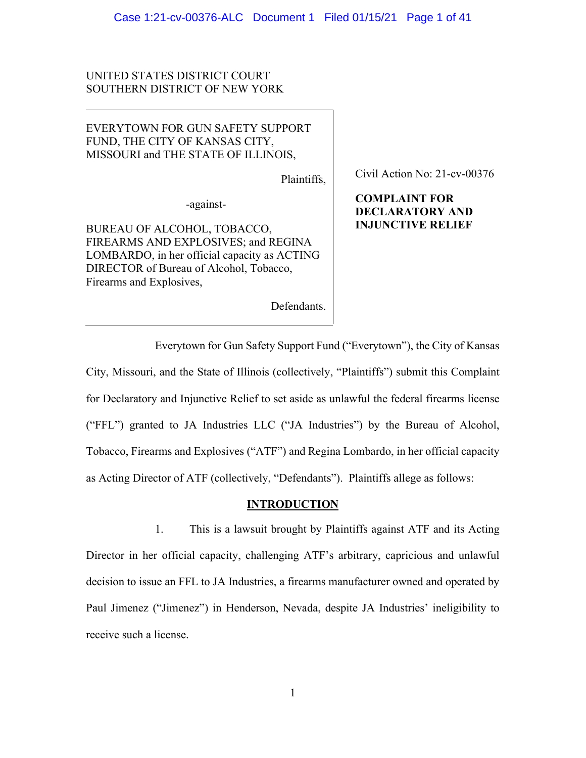# UNITED STATES DISTRICT COURT SOUTHERN DISTRICT OF NEW YORK

# EVERYTOWN FOR GUN SAFETY SUPPORT FUND, THE CITY OF KANSAS CITY, MISSOURI and THE STATE OF ILLINOIS,

Plaintiffs,

-against-

BUREAU OF ALCOHOL, TOBACCO, FIREARMS AND EXPLOSIVES; and REGINA LOMBARDO, in her official capacity as ACTING DIRECTOR of Bureau of Alcohol, Tobacco, Firearms and Explosives,

Defendants.

Civil Action No: 21-cv-00376

# **COMPLAINT FOR DECLARATORY AND INJUNCTIVE RELIEF**

Everytown for Gun Safety Support Fund ("Everytown"), the City of Kansas City, Missouri, and the State of Illinois (collectively, "Plaintiffs") submit this Complaint for Declaratory and Injunctive Relief to set aside as unlawful the federal firearms license ("FFL") granted to JA Industries LLC ("JA Industries") by the Bureau of Alcohol, Tobacco, Firearms and Explosives ("ATF") and Regina Lombardo, in her official capacity as Acting Director of ATF (collectively, "Defendants"). Plaintiffs allege as follows:

### **INTRODUCTION**

1. This is a lawsuit brought by Plaintiffs against ATF and its Acting Director in her official capacity, challenging ATF's arbitrary, capricious and unlawful decision to issue an FFL to JA Industries, a firearms manufacturer owned and operated by Paul Jimenez ("Jimenez") in Henderson, Nevada, despite JA Industries' ineligibility to receive such a license.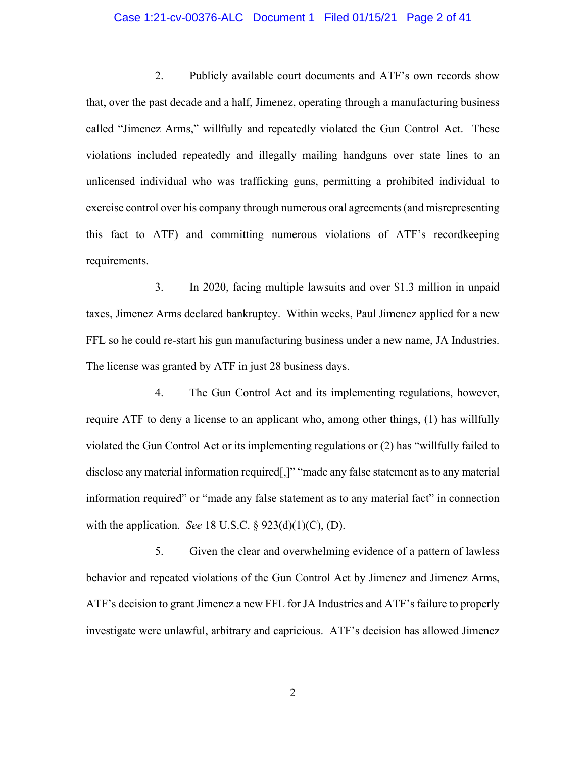### Case 1:21-cv-00376-ALC Document 1 Filed 01/15/21 Page 2 of 41

2. Publicly available court documents and ATF's own records show that, over the past decade and a half, Jimenez, operating through a manufacturing business called "Jimenez Arms," willfully and repeatedly violated the Gun Control Act. These violations included repeatedly and illegally mailing handguns over state lines to an unlicensed individual who was trafficking guns, permitting a prohibited individual to exercise control over his company through numerous oral agreements (and misrepresenting this fact to ATF) and committing numerous violations of ATF's recordkeeping requirements.

3. In 2020, facing multiple lawsuits and over \$1.3 million in unpaid taxes, Jimenez Arms declared bankruptcy. Within weeks, Paul Jimenez applied for a new FFL so he could re-start his gun manufacturing business under a new name, JA Industries. The license was granted by ATF in just 28 business days.

4. The Gun Control Act and its implementing regulations, however, require ATF to deny a license to an applicant who, among other things, (1) has willfully violated the Gun Control Act or its implementing regulations or (2) has "willfully failed to disclose any material information required[,]" "made any false statement as to any material information required" or "made any false statement as to any material fact" in connection with the application. *See* 18 U.S.C. § 923(d)(1)(C), (D).

5. Given the clear and overwhelming evidence of a pattern of lawless behavior and repeated violations of the Gun Control Act by Jimenez and Jimenez Arms, ATF's decision to grant Jimenez a new FFL for JA Industries and ATF's failure to properly investigate were unlawful, arbitrary and capricious. ATF's decision has allowed Jimenez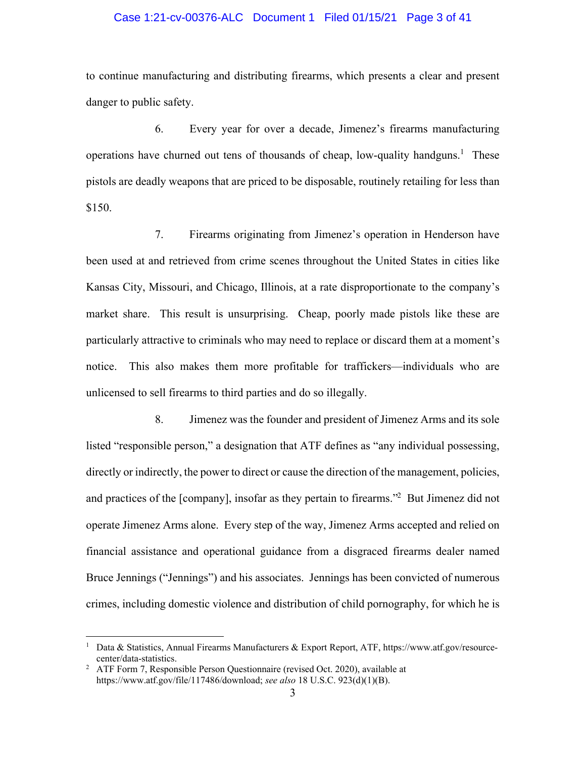### Case 1:21-cv-00376-ALC Document 1 Filed 01/15/21 Page 3 of 41

to continue manufacturing and distributing firearms, which presents a clear and present danger to public safety.

6. Every year for over a decade, Jimenez's firearms manufacturing operations have churned out tens of thousands of cheap, low-quality handguns.<sup>1</sup> These pistols are deadly weapons that are priced to be disposable, routinely retailing for less than \$150.

7. Firearms originating from Jimenez's operation in Henderson have been used at and retrieved from crime scenes throughout the United States in cities like Kansas City, Missouri, and Chicago, Illinois, at a rate disproportionate to the company's market share. This result is unsurprising. Cheap, poorly made pistols like these are particularly attractive to criminals who may need to replace or discard them at a moment's notice. This also makes them more profitable for traffickers—individuals who are unlicensed to sell firearms to third parties and do so illegally.

8. Jimenez was the founder and president of Jimenez Arms and its sole listed "responsible person," a designation that ATF defines as "any individual possessing, directly or indirectly, the power to direct or cause the direction of the management, policies, and practices of the [company], insofar as they pertain to firearms."<sup>2</sup> But Jimenez did not operate Jimenez Arms alone. Every step of the way, Jimenez Arms accepted and relied on financial assistance and operational guidance from a disgraced firearms dealer named Bruce Jennings ("Jennings") and his associates. Jennings has been convicted of numerous crimes, including domestic violence and distribution of child pornography, for which he is

<sup>1</sup> Data & Statistics, Annual Firearms Manufacturers & Export Report, ATF, https://www.atf.gov/resourcecenter/data-statistics.<br><sup>2</sup> ATF Form 7 Respon

ATF Form 7, Responsible Person Questionnaire (revised Oct. 2020), available at https://www.atf.gov/file/117486/download; *see also* 18 U.S.C. 923(d)(1)(B).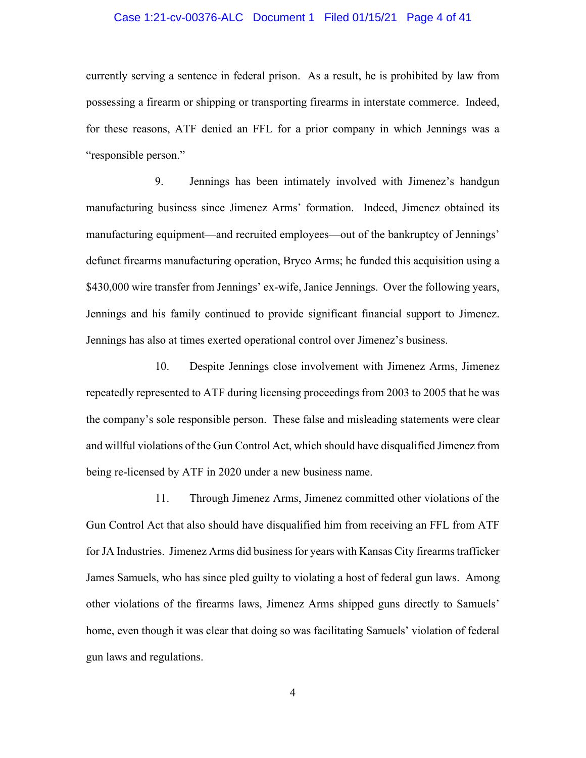### Case 1:21-cv-00376-ALC Document 1 Filed 01/15/21 Page 4 of 41

currently serving a sentence in federal prison. As a result, he is prohibited by law from possessing a firearm or shipping or transporting firearms in interstate commerce. Indeed, for these reasons, ATF denied an FFL for a prior company in which Jennings was a "responsible person."

9. Jennings has been intimately involved with Jimenez's handgun manufacturing business since Jimenez Arms' formation. Indeed, Jimenez obtained its manufacturing equipment—and recruited employees—out of the bankruptcy of Jennings' defunct firearms manufacturing operation, Bryco Arms; he funded this acquisition using a \$430,000 wire transfer from Jennings' ex-wife, Janice Jennings. Over the following years, Jennings and his family continued to provide significant financial support to Jimenez. Jennings has also at times exerted operational control over Jimenez's business.

10. Despite Jennings close involvement with Jimenez Arms, Jimenez repeatedly represented to ATF during licensing proceedings from 2003 to 2005 that he was the company's sole responsible person. These false and misleading statements were clear and willful violations of the Gun Control Act, which should have disqualified Jimenez from being re-licensed by ATF in 2020 under a new business name.

11. Through Jimenez Arms, Jimenez committed other violations of the Gun Control Act that also should have disqualified him from receiving an FFL from ATF for JA Industries. Jimenez Arms did business for years with Kansas City firearms trafficker James Samuels, who has since pled guilty to violating a host of federal gun laws. Among other violations of the firearms laws, Jimenez Arms shipped guns directly to Samuels' home, even though it was clear that doing so was facilitating Samuels' violation of federal gun laws and regulations.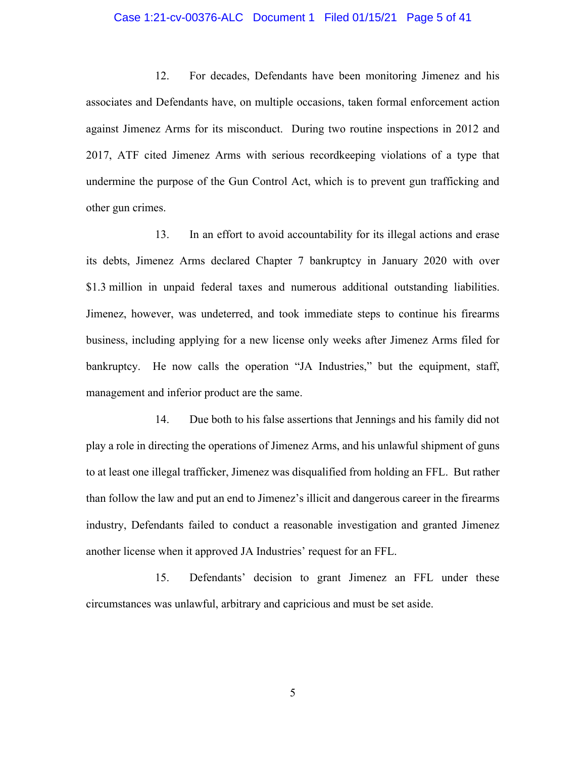### Case 1:21-cv-00376-ALC Document 1 Filed 01/15/21 Page 5 of 41

12. For decades, Defendants have been monitoring Jimenez and his associates and Defendants have, on multiple occasions, taken formal enforcement action against Jimenez Arms for its misconduct. During two routine inspections in 2012 and 2017, ATF cited Jimenez Arms with serious recordkeeping violations of a type that undermine the purpose of the Gun Control Act, which is to prevent gun trafficking and other gun crimes.

13. In an effort to avoid accountability for its illegal actions and erase its debts, Jimenez Arms declared Chapter 7 bankruptcy in January 2020 with over \$1.3 million in unpaid federal taxes and numerous additional outstanding liabilities. Jimenez, however, was undeterred, and took immediate steps to continue his firearms business, including applying for a new license only weeks after Jimenez Arms filed for bankruptcy. He now calls the operation "JA Industries," but the equipment, staff, management and inferior product are the same.

14. Due both to his false assertions that Jennings and his family did not play a role in directing the operations of Jimenez Arms, and his unlawful shipment of guns to at least one illegal trafficker, Jimenez was disqualified from holding an FFL. But rather than follow the law and put an end to Jimenez's illicit and dangerous career in the firearms industry, Defendants failed to conduct a reasonable investigation and granted Jimenez another license when it approved JA Industries' request for an FFL.

15. Defendants' decision to grant Jimenez an FFL under these circumstances was unlawful, arbitrary and capricious and must be set aside.

5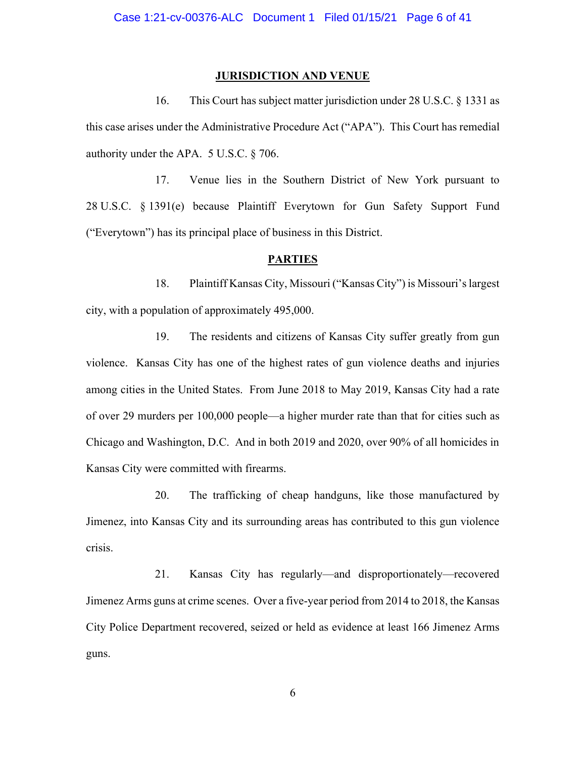### **JURISDICTION AND VENUE**

16. This Court has subject matter jurisdiction under 28 U.S.C. § 1331 as this case arises under the Administrative Procedure Act ("APA"). This Court has remedial authority under the APA. 5 U.S.C. § 706.

17. Venue lies in the Southern District of New York pursuant to 28 U.S.C. § 1391(e) because Plaintiff Everytown for Gun Safety Support Fund ("Everytown") has its principal place of business in this District.

### **PARTIES**

18. Plaintiff Kansas City, Missouri ("Kansas City") is Missouri's largest city, with a population of approximately 495,000.

19. The residents and citizens of Kansas City suffer greatly from gun violence. Kansas City has one of the highest rates of gun violence deaths and injuries among cities in the United States. From June 2018 to May 2019, Kansas City had a rate of over 29 murders per 100,000 people—a higher murder rate than that for cities such as Chicago and Washington, D.C. And in both 2019 and 2020, over 90% of all homicides in Kansas City were committed with firearms.

20. The trafficking of cheap handguns, like those manufactured by Jimenez, into Kansas City and its surrounding areas has contributed to this gun violence crisis.

21. Kansas City has regularly—and disproportionately—recovered Jimenez Arms guns at crime scenes. Over a five-year period from 2014 to 2018, the Kansas City Police Department recovered, seized or held as evidence at least 166 Jimenez Arms guns.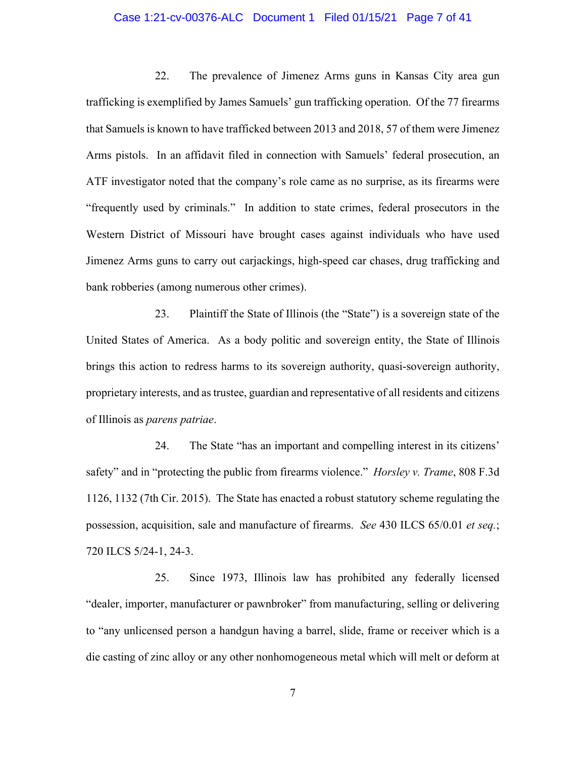### Case 1:21-cv-00376-ALC Document 1 Filed 01/15/21 Page 7 of 41

22. The prevalence of Jimenez Arms guns in Kansas City area gun trafficking is exemplified by James Samuels' gun trafficking operation. Of the 77 firearms that Samuels is known to have trafficked between 2013 and 2018, 57 of them were Jimenez Arms pistols. In an affidavit filed in connection with Samuels' federal prosecution, an ATF investigator noted that the company's role came as no surprise, as its firearms were "frequently used by criminals." In addition to state crimes, federal prosecutors in the Western District of Missouri have brought cases against individuals who have used Jimenez Arms guns to carry out carjackings, high-speed car chases, drug trafficking and bank robberies (among numerous other crimes).

23. Plaintiff the State of Illinois (the "State") is a sovereign state of the United States of America. As a body politic and sovereign entity, the State of Illinois brings this action to redress harms to its sovereign authority, quasi-sovereign authority, proprietary interests, and as trustee, guardian and representative of all residents and citizens of Illinois as *parens patriae*.

24. The State "has an important and compelling interest in its citizens' safety" and in "protecting the public from firearms violence." *Horsley v. Trame*, 808 F.3d 1126, 1132 (7th Cir. 2015). The State has enacted a robust statutory scheme regulating the possession, acquisition, sale and manufacture of firearms. *See* 430 ILCS 65/0.01 *et seq.*; 720 ILCS 5/24-1, 24-3.

25. Since 1973, Illinois law has prohibited any federally licensed "dealer, importer, manufacturer or pawnbroker" from manufacturing, selling or delivering to "any unlicensed person a handgun having a barrel, slide, frame or receiver which is a die casting of zinc alloy or any other nonhomogeneous metal which will melt or deform at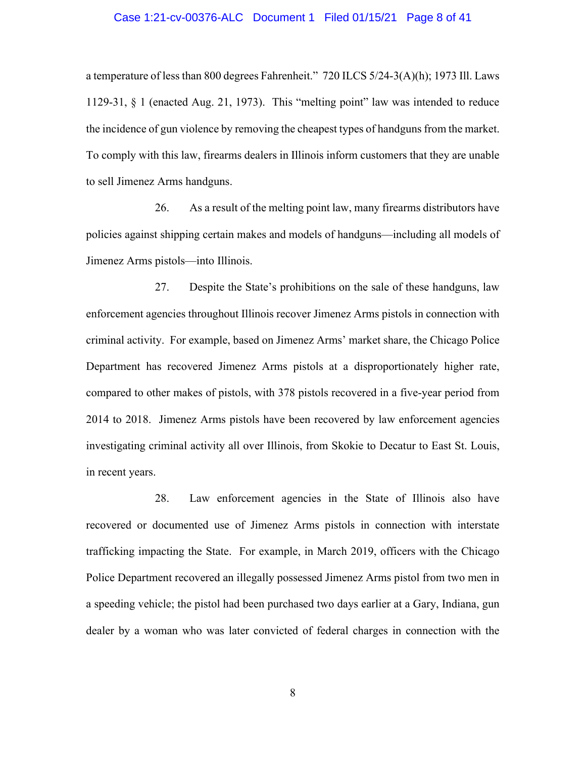### Case 1:21-cv-00376-ALC Document 1 Filed 01/15/21 Page 8 of 41

a temperature of less than 800 degrees Fahrenheit." 720 ILCS 5/24-3(A)(h); 1973 Ill. Laws 1129-31, § 1 (enacted Aug. 21, 1973). This "melting point" law was intended to reduce the incidence of gun violence by removing the cheapest types of handguns from the market. To comply with this law, firearms dealers in Illinois inform customers that they are unable to sell Jimenez Arms handguns.

26. As a result of the melting point law, many firearms distributors have policies against shipping certain makes and models of handguns—including all models of Jimenez Arms pistols—into Illinois.

27. Despite the State's prohibitions on the sale of these handguns, law enforcement agencies throughout Illinois recover Jimenez Arms pistols in connection with criminal activity. For example, based on Jimenez Arms' market share, the Chicago Police Department has recovered Jimenez Arms pistols at a disproportionately higher rate, compared to other makes of pistols, with 378 pistols recovered in a five-year period from 2014 to 2018. Jimenez Arms pistols have been recovered by law enforcement agencies investigating criminal activity all over Illinois, from Skokie to Decatur to East St. Louis, in recent years.

28. Law enforcement agencies in the State of Illinois also have recovered or documented use of Jimenez Arms pistols in connection with interstate trafficking impacting the State. For example, in March 2019, officers with the Chicago Police Department recovered an illegally possessed Jimenez Arms pistol from two men in a speeding vehicle; the pistol had been purchased two days earlier at a Gary, Indiana, gun dealer by a woman who was later convicted of federal charges in connection with the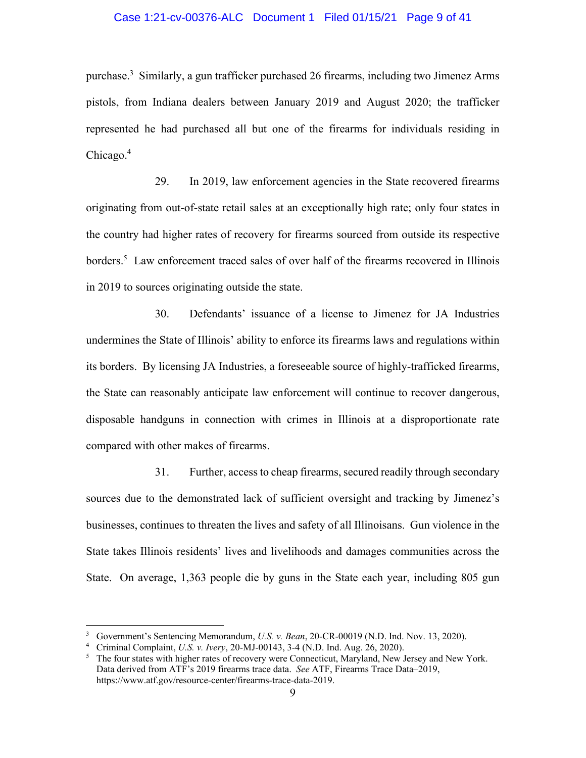### Case 1:21-cv-00376-ALC Document 1 Filed 01/15/21 Page 9 of 41

purchase.<sup>3</sup> Similarly, a gun trafficker purchased 26 firearms, including two Jimenez Arms pistols, from Indiana dealers between January 2019 and August 2020; the trafficker represented he had purchased all but one of the firearms for individuals residing in Chicago.<sup>4</sup>

29. In 2019, law enforcement agencies in the State recovered firearms originating from out-of-state retail sales at an exceptionally high rate; only four states in the country had higher rates of recovery for firearms sourced from outside its respective borders.<sup>5</sup> Law enforcement traced sales of over half of the firearms recovered in Illinois in 2019 to sources originating outside the state.

30. Defendants' issuance of a license to Jimenez for JA Industries undermines the State of Illinois' ability to enforce its firearms laws and regulations within its borders. By licensing JA Industries, a foreseeable source of highly-trafficked firearms, the State can reasonably anticipate law enforcement will continue to recover dangerous, disposable handguns in connection with crimes in Illinois at a disproportionate rate compared with other makes of firearms.

31. Further, access to cheap firearms, secured readily through secondary sources due to the demonstrated lack of sufficient oversight and tracking by Jimenez's businesses, continues to threaten the lives and safety of all Illinoisans. Gun violence in the State takes Illinois residents' lives and livelihoods and damages communities across the State. On average, 1,363 people die by guns in the State each year, including 805 gun

<sup>&</sup>lt;sup>3</sup> Government's Sentencing Memorandum, *U.S. v. Bean*, 20-CR-00019 (N.D. Ind. Nov. 13, 2020).<br><sup>4</sup> Criminal Complaint *U.S. v. Ivery* 20-ML00143, 3.4 (N.D. Ind. Aug. 26, 2020).

Criminal Complaint, *U.S. v. Ivery*, 20-MJ-00143, 3-4 (N.D. Ind. Aug. 26, 2020). 5

<sup>&</sup>lt;sup>5</sup> The four states with higher rates of recovery were Connecticut, Maryland, New Jersey and New York. Data derived from ATF's 2019 firearms trace data. *See* ATF, Firearms Trace Data–2019, https://www.atf.gov/resource-center/firearms-trace-data-2019.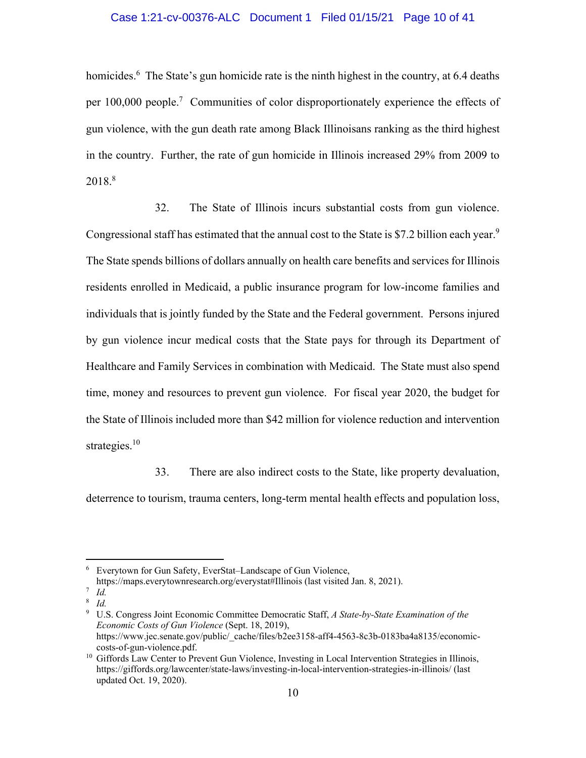## Case 1:21-cv-00376-ALC Document 1 Filed 01/15/21 Page 10 of 41

homicides.<sup>6</sup> The State's gun homicide rate is the ninth highest in the country, at 6.4 deaths per 100,000 people.<sup>7</sup> Communities of color disproportionately experience the effects of gun violence, with the gun death rate among Black Illinoisans ranking as the third highest in the country. Further, the rate of gun homicide in Illinois increased 29% from 2009 to 2018.8

32. The State of Illinois incurs substantial costs from gun violence. Congressional staff has estimated that the annual cost to the State is \$7.2 billion each year.<sup>9</sup> The State spends billions of dollars annually on health care benefits and services for Illinois residents enrolled in Medicaid, a public insurance program for low-income families and individuals that is jointly funded by the State and the Federal government. Persons injured by gun violence incur medical costs that the State pays for through its Department of Healthcare and Family Services in combination with Medicaid. The State must also spend time, money and resources to prevent gun violence. For fiscal year 2020, the budget for the State of Illinois included more than \$42 million for violence reduction and intervention strategies. $10$ 

33. There are also indirect costs to the State, like property devaluation, deterrence to tourism, trauma centers, long-term mental health effects and population loss,

<sup>6</sup> Everytown for Gun Safety, EverStat–Landscape of Gun Violence,

https://maps.everytownresearch.org/everystat#Illinois (last visited Jan. 8, 2021). 7 *Id.* 

<sup>8</sup> *Id.*

<sup>9</sup> U.S. Congress Joint Economic Committee Democratic Staff, *A State-by-State Examination of the Economic Costs of Gun Violence* (Sept. 18, 2019), https://www.jec.senate.gov/public/\_cache/files/b2ee3158-aff4-4563-8c3b-0183ba4a8135/economiccosts-of-gun-violence.pdf. 10 Giffords Law Center to Prevent Gun Violence, Investing in Local Intervention Strategies in Illinois,

https://giffords.org/lawcenter/state-laws/investing-in-local-intervention-strategies-in-illinois/ (last updated Oct. 19, 2020).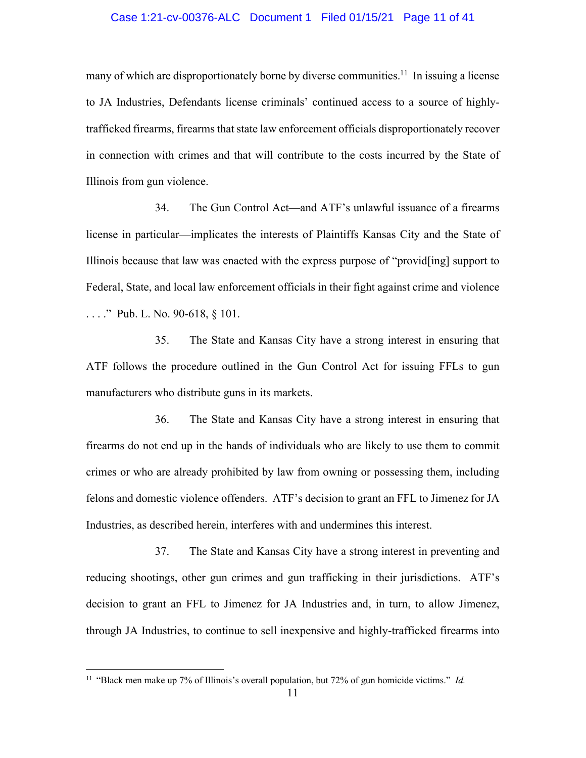### Case 1:21-cv-00376-ALC Document 1 Filed 01/15/21 Page 11 of 41

many of which are disproportionately borne by diverse communities.<sup>11</sup> In issuing a license to JA Industries, Defendants license criminals' continued access to a source of highlytrafficked firearms, firearms that state law enforcement officials disproportionately recover in connection with crimes and that will contribute to the costs incurred by the State of Illinois from gun violence.

34. The Gun Control Act—and ATF's unlawful issuance of a firearms license in particular—implicates the interests of Plaintiffs Kansas City and the State of Illinois because that law was enacted with the express purpose of "provid[ing] support to Federal, State, and local law enforcement officials in their fight against crime and violence . . . ." Pub. L. No. 90-618, § 101.

35. The State and Kansas City have a strong interest in ensuring that ATF follows the procedure outlined in the Gun Control Act for issuing FFLs to gun manufacturers who distribute guns in its markets.

36. The State and Kansas City have a strong interest in ensuring that firearms do not end up in the hands of individuals who are likely to use them to commit crimes or who are already prohibited by law from owning or possessing them, including felons and domestic violence offenders. ATF's decision to grant an FFL to Jimenez for JA Industries, as described herein, interferes with and undermines this interest.

37. The State and Kansas City have a strong interest in preventing and reducing shootings, other gun crimes and gun trafficking in their jurisdictions. ATF's decision to grant an FFL to Jimenez for JA Industries and, in turn, to allow Jimenez, through JA Industries, to continue to sell inexpensive and highly-trafficked firearms into

<sup>11 &</sup>quot;Black men make up 7% of Illinois's overall population, but 72% of gun homicide victims." *Id.*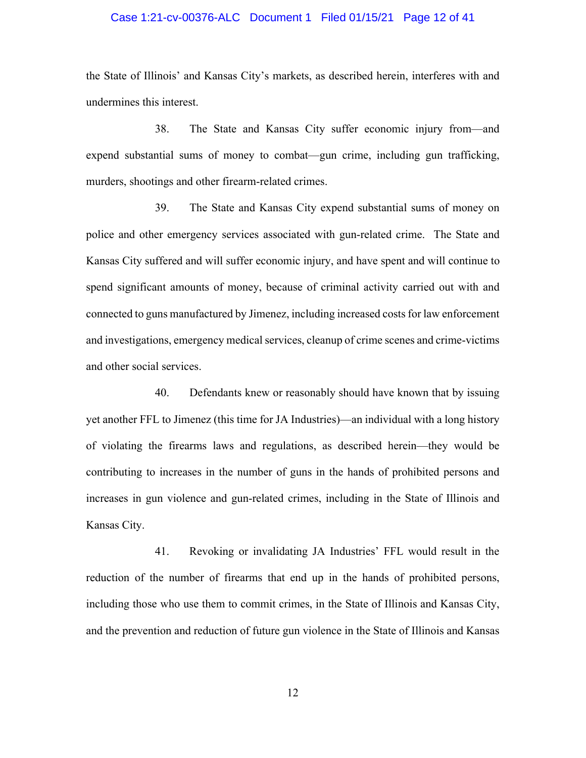## Case 1:21-cv-00376-ALC Document 1 Filed 01/15/21 Page 12 of 41

the State of Illinois' and Kansas City's markets, as described herein, interferes with and undermines this interest.

38. The State and Kansas City suffer economic injury from—and expend substantial sums of money to combat—gun crime, including gun trafficking, murders, shootings and other firearm-related crimes.

39. The State and Kansas City expend substantial sums of money on police and other emergency services associated with gun-related crime. The State and Kansas City suffered and will suffer economic injury, and have spent and will continue to spend significant amounts of money, because of criminal activity carried out with and connected to guns manufactured by Jimenez, including increased costs for law enforcement and investigations, emergency medical services, cleanup of crime scenes and crime-victims and other social services.

40. Defendants knew or reasonably should have known that by issuing yet another FFL to Jimenez (this time for JA Industries)—an individual with a long history of violating the firearms laws and regulations, as described herein—they would be contributing to increases in the number of guns in the hands of prohibited persons and increases in gun violence and gun-related crimes, including in the State of Illinois and Kansas City.

41. Revoking or invalidating JA Industries' FFL would result in the reduction of the number of firearms that end up in the hands of prohibited persons, including those who use them to commit crimes, in the State of Illinois and Kansas City, and the prevention and reduction of future gun violence in the State of Illinois and Kansas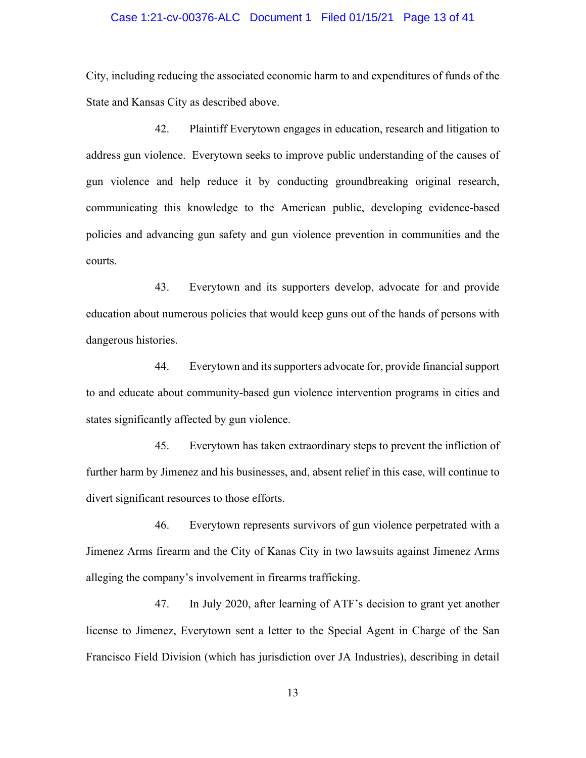### Case 1:21-cv-00376-ALC Document 1 Filed 01/15/21 Page 13 of 41

City, including reducing the associated economic harm to and expenditures of funds of the State and Kansas City as described above.

42. Plaintiff Everytown engages in education, research and litigation to address gun violence. Everytown seeks to improve public understanding of the causes of gun violence and help reduce it by conducting groundbreaking original research, communicating this knowledge to the American public, developing evidence-based policies and advancing gun safety and gun violence prevention in communities and the courts.

43. Everytown and its supporters develop, advocate for and provide education about numerous policies that would keep guns out of the hands of persons with dangerous histories.

44. Everytown and its supporters advocate for, provide financial support to and educate about community-based gun violence intervention programs in cities and states significantly affected by gun violence.

45. Everytown has taken extraordinary steps to prevent the infliction of further harm by Jimenez and his businesses, and, absent relief in this case, will continue to divert significant resources to those efforts.

46. Everytown represents survivors of gun violence perpetrated with a Jimenez Arms firearm and the City of Kanas City in two lawsuits against Jimenez Arms alleging the company's involvement in firearms trafficking.

47. In July 2020, after learning of ATF's decision to grant yet another license to Jimenez, Everytown sent a letter to the Special Agent in Charge of the San Francisco Field Division (which has jurisdiction over JA Industries), describing in detail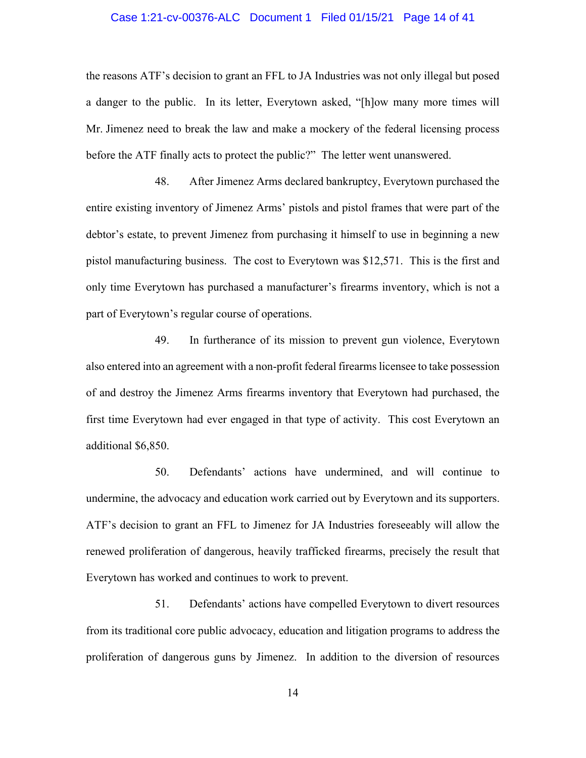### Case 1:21-cv-00376-ALC Document 1 Filed 01/15/21 Page 14 of 41

the reasons ATF's decision to grant an FFL to JA Industries was not only illegal but posed a danger to the public. In its letter, Everytown asked, "[h]ow many more times will Mr. Jimenez need to break the law and make a mockery of the federal licensing process before the ATF finally acts to protect the public?" The letter went unanswered.

48. After Jimenez Arms declared bankruptcy, Everytown purchased the entire existing inventory of Jimenez Arms' pistols and pistol frames that were part of the debtor's estate, to prevent Jimenez from purchasing it himself to use in beginning a new pistol manufacturing business. The cost to Everytown was \$12,571. This is the first and only time Everytown has purchased a manufacturer's firearms inventory, which is not a part of Everytown's regular course of operations.

49. In furtherance of its mission to prevent gun violence, Everytown also entered into an agreement with a non-profit federal firearms licensee to take possession of and destroy the Jimenez Arms firearms inventory that Everytown had purchased, the first time Everytown had ever engaged in that type of activity. This cost Everytown an additional \$6,850.

50. Defendants' actions have undermined, and will continue to undermine, the advocacy and education work carried out by Everytown and its supporters. ATF's decision to grant an FFL to Jimenez for JA Industries foreseeably will allow the renewed proliferation of dangerous, heavily trafficked firearms, precisely the result that Everytown has worked and continues to work to prevent.

51. Defendants' actions have compelled Everytown to divert resources from its traditional core public advocacy, education and litigation programs to address the proliferation of dangerous guns by Jimenez. In addition to the diversion of resources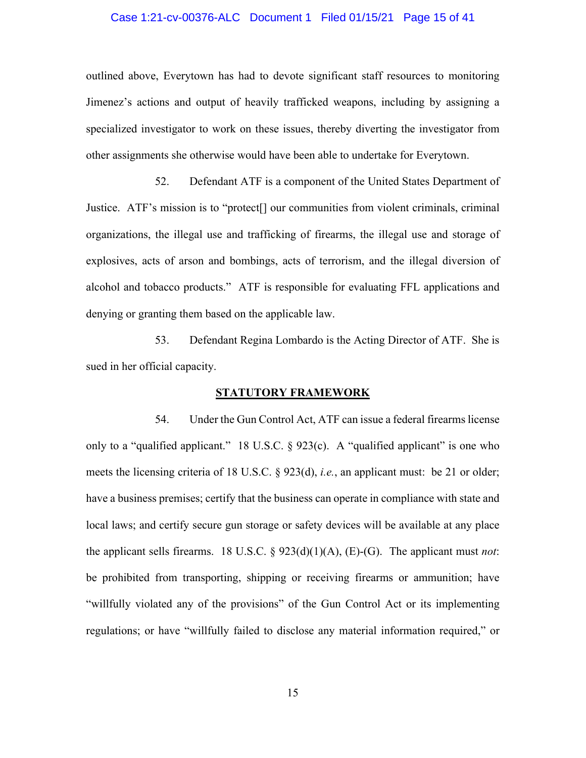### Case 1:21-cv-00376-ALC Document 1 Filed 01/15/21 Page 15 of 41

outlined above, Everytown has had to devote significant staff resources to monitoring Jimenez's actions and output of heavily trafficked weapons, including by assigning a specialized investigator to work on these issues, thereby diverting the investigator from other assignments she otherwise would have been able to undertake for Everytown.

52. Defendant ATF is a component of the United States Department of Justice. ATF's mission is to "protect[] our communities from violent criminals, criminal organizations, the illegal use and trafficking of firearms, the illegal use and storage of explosives, acts of arson and bombings, acts of terrorism, and the illegal diversion of alcohol and tobacco products." ATF is responsible for evaluating FFL applications and denying or granting them based on the applicable law.

53. Defendant Regina Lombardo is the Acting Director of ATF. She is sued in her official capacity.

### **STATUTORY FRAMEWORK**

54. Under the Gun Control Act, ATF can issue a federal firearms license only to a "qualified applicant." 18 U.S.C.  $\S$  923(c). A "qualified applicant" is one who meets the licensing criteria of 18 U.S.C. § 923(d), *i.e.*, an applicant must: be 21 or older; have a business premises; certify that the business can operate in compliance with state and local laws; and certify secure gun storage or safety devices will be available at any place the applicant sells firearms. 18 U.S.C. § 923(d)(1)(A), (E)-(G). The applicant must *not*: be prohibited from transporting, shipping or receiving firearms or ammunition; have "willfully violated any of the provisions" of the Gun Control Act or its implementing regulations; or have "willfully failed to disclose any material information required," or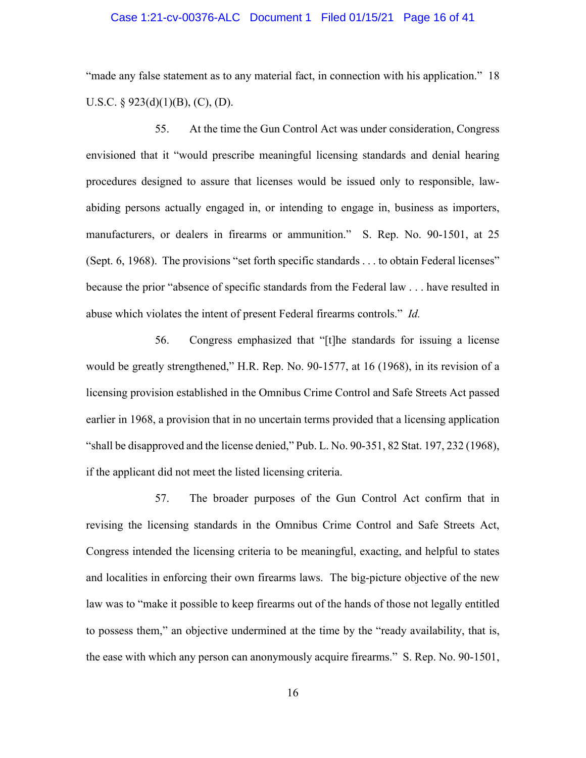### Case 1:21-cv-00376-ALC Document 1 Filed 01/15/21 Page 16 of 41

"made any false statement as to any material fact, in connection with his application." 18 U.S.C. §  $923(d)(1)(B)$ , (C), (D).

55. At the time the Gun Control Act was under consideration, Congress envisioned that it "would prescribe meaningful licensing standards and denial hearing procedures designed to assure that licenses would be issued only to responsible, lawabiding persons actually engaged in, or intending to engage in, business as importers, manufacturers, or dealers in firearms or ammunition." S. Rep. No. 90-1501, at 25 (Sept. 6, 1968). The provisions "set forth specific standards . . . to obtain Federal licenses" because the prior "absence of specific standards from the Federal law . . . have resulted in abuse which violates the intent of present Federal firearms controls." *Id.*

56. Congress emphasized that "[t]he standards for issuing a license would be greatly strengthened," H.R. Rep. No. 90-1577, at 16 (1968), in its revision of a licensing provision established in the Omnibus Crime Control and Safe Streets Act passed earlier in 1968, a provision that in no uncertain terms provided that a licensing application "shall be disapproved and the license denied," Pub. L. No. 90-351, 82 Stat. 197, 232 (1968), if the applicant did not meet the listed licensing criteria.

57. The broader purposes of the Gun Control Act confirm that in revising the licensing standards in the Omnibus Crime Control and Safe Streets Act, Congress intended the licensing criteria to be meaningful, exacting, and helpful to states and localities in enforcing their own firearms laws. The big-picture objective of the new law was to "make it possible to keep firearms out of the hands of those not legally entitled to possess them," an objective undermined at the time by the "ready availability, that is, the ease with which any person can anonymously acquire firearms." S. Rep. No. 90-1501,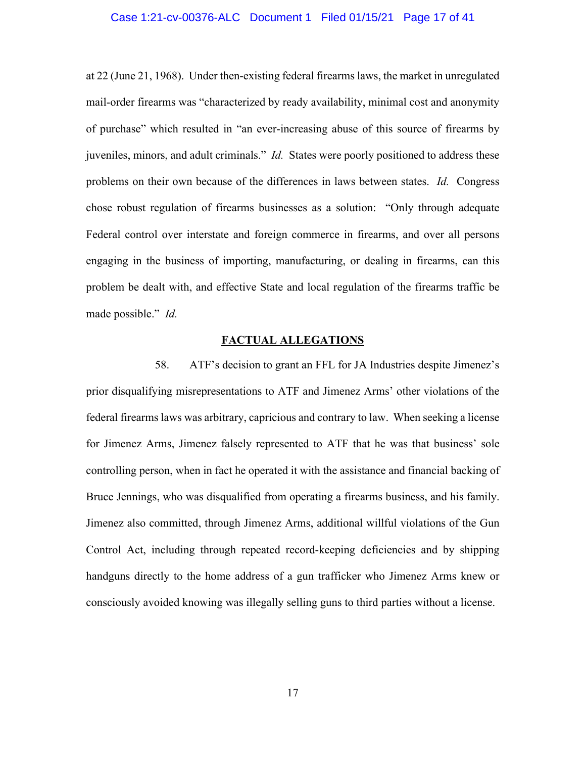### Case 1:21-cv-00376-ALC Document 1 Filed 01/15/21 Page 17 of 41

at 22 (June 21, 1968). Under then-existing federal firearms laws, the market in unregulated mail-order firearms was "characterized by ready availability, minimal cost and anonymity of purchase" which resulted in "an ever-increasing abuse of this source of firearms by juveniles, minors, and adult criminals." *Id.* States were poorly positioned to address these problems on their own because of the differences in laws between states. *Id.* Congress chose robust regulation of firearms businesses as a solution: "Only through adequate Federal control over interstate and foreign commerce in firearms, and over all persons engaging in the business of importing, manufacturing, or dealing in firearms, can this problem be dealt with, and effective State and local regulation of the firearms traffic be made possible." *Id.*

### **FACTUAL ALLEGATIONS**

58. ATF's decision to grant an FFL for JA Industries despite Jimenez's prior disqualifying misrepresentations to ATF and Jimenez Arms' other violations of the federal firearms laws was arbitrary, capricious and contrary to law. When seeking a license for Jimenez Arms, Jimenez falsely represented to ATF that he was that business' sole controlling person, when in fact he operated it with the assistance and financial backing of Bruce Jennings, who was disqualified from operating a firearms business, and his family. Jimenez also committed, through Jimenez Arms, additional willful violations of the Gun Control Act, including through repeated record-keeping deficiencies and by shipping handguns directly to the home address of a gun trafficker who Jimenez Arms knew or consciously avoided knowing was illegally selling guns to third parties without a license.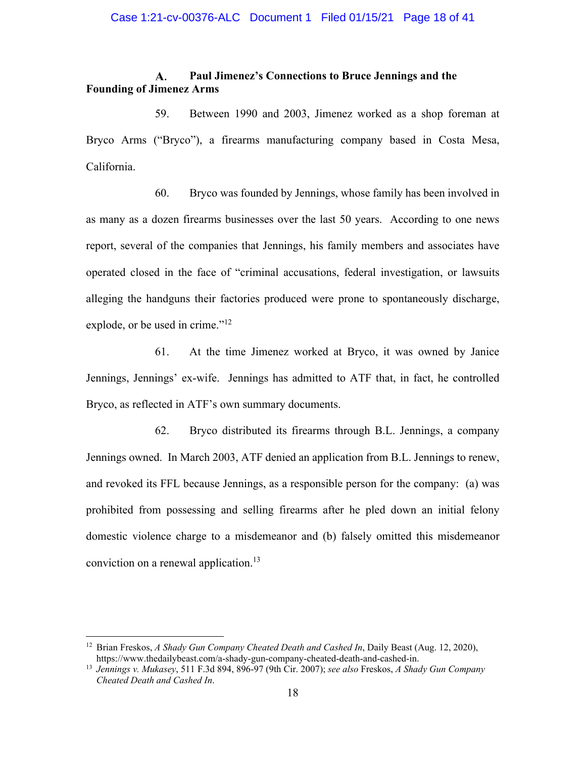### A. **Paul Jimenez's Connections to Bruce Jennings and the Founding of Jimenez Arms**

59. Between 1990 and 2003, Jimenez worked as a shop foreman at Bryco Arms ("Bryco"), a firearms manufacturing company based in Costa Mesa, California.

60. Bryco was founded by Jennings, whose family has been involved in as many as a dozen firearms businesses over the last 50 years. According to one news report, several of the companies that Jennings, his family members and associates have operated closed in the face of "criminal accusations, federal investigation, or lawsuits alleging the handguns their factories produced were prone to spontaneously discharge, explode, or be used in crime."<sup>12</sup>

61. At the time Jimenez worked at Bryco, it was owned by Janice Jennings, Jennings' ex-wife. Jennings has admitted to ATF that, in fact, he controlled Bryco, as reflected in ATF's own summary documents.

62. Bryco distributed its firearms through B.L. Jennings, a company Jennings owned. In March 2003, ATF denied an application from B.L. Jennings to renew, and revoked its FFL because Jennings, as a responsible person for the company: (a) was prohibited from possessing and selling firearms after he pled down an initial felony domestic violence charge to a misdemeanor and (b) falsely omitted this misdemeanor conviction on a renewal application.<sup>13</sup>

<sup>12</sup> Brian Freskos, *A Shady Gun Company Cheated Death and Cashed In*, Daily Beast (Aug. 12, 2020), https://www.thedailybeast.com/a-shady-gun-company-cheated-death-and-cashed-in. 13 *Jennings v. Mukasey*, 511 F.3d 894, 896-97 (9th Cir. 2007); *see also* Freskos, *A Shady Gun Company* 

*Cheated Death and Cashed In*.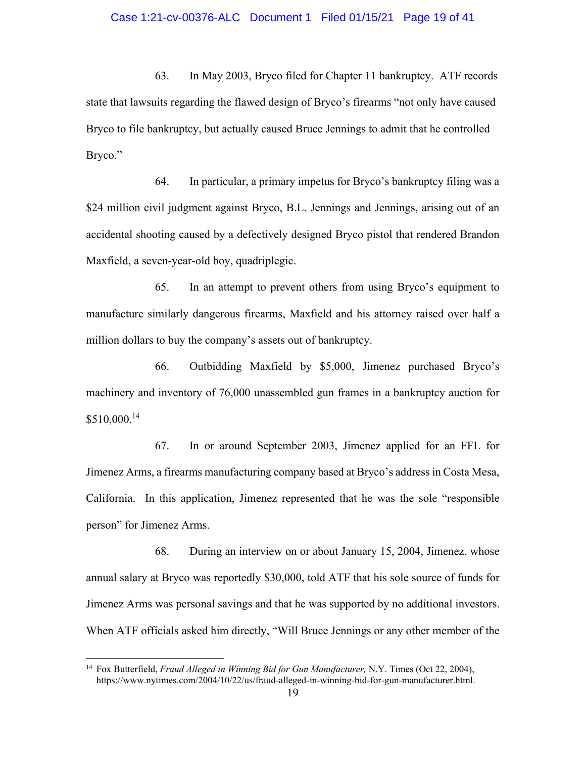### Case 1:21-cv-00376-ALC Document 1 Filed 01/15/21 Page 19 of 41

63. In May 2003, Bryco filed for Chapter 11 bankruptcy. ATF records state that lawsuits regarding the flawed design of Bryco's firearms "not only have caused Bryco to file bankruptcy, but actually caused Bruce Jennings to admit that he controlled Bryco."

64. In particular, a primary impetus for Bryco's bankruptcy filing was a \$24 million civil judgment against Bryco, B.L. Jennings and Jennings, arising out of an accidental shooting caused by a defectively designed Bryco pistol that rendered Brandon Maxfield, a seven-year-old boy, quadriplegic.

65. In an attempt to prevent others from using Bryco's equipment to manufacture similarly dangerous firearms, Maxfield and his attorney raised over half a million dollars to buy the company's assets out of bankruptcy.

66. Outbidding Maxfield by \$5,000, Jimenez purchased Bryco's machinery and inventory of 76,000 unassembled gun frames in a bankruptcy auction for \$510,000.14

67. In or around September 2003, Jimenez applied for an FFL for Jimenez Arms, a firearms manufacturing company based at Bryco's address in Costa Mesa, California. In this application, Jimenez represented that he was the sole "responsible person" for Jimenez Arms.

68. During an interview on or about January 15, 2004, Jimenez, whose annual salary at Bryco was reportedly \$30,000, told ATF that his sole source of funds for Jimenez Arms was personal savings and that he was supported by no additional investors. When ATF officials asked him directly, "Will Bruce Jennings or any other member of the

<sup>14</sup> Fox Butterfield, *Fraud Alleged in Winning Bid for Gun Manufacturer,* N.Y. Times (Oct 22, 2004), https://www.nytimes.com/2004/10/22/us/fraud-alleged-in-winning-bid-for-gun-manufacturer.html.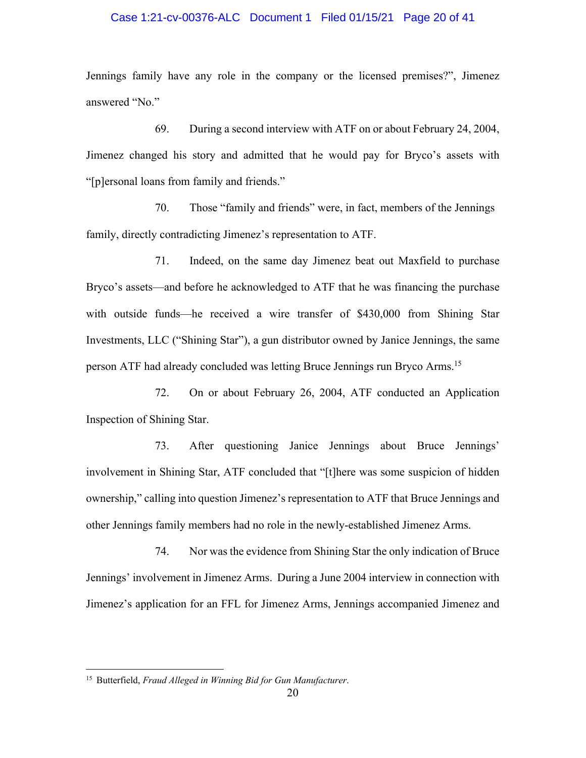## Case 1:21-cv-00376-ALC Document 1 Filed 01/15/21 Page 20 of 41

Jennings family have any role in the company or the licensed premises?", Jimenez answered "No."

69. During a second interview with ATF on or about February 24, 2004, Jimenez changed his story and admitted that he would pay for Bryco's assets with "[p]ersonal loans from family and friends."

70. Those "family and friends" were, in fact, members of the Jennings family, directly contradicting Jimenez's representation to ATF.

71. Indeed, on the same day Jimenez beat out Maxfield to purchase Bryco's assets—and before he acknowledged to ATF that he was financing the purchase with outside funds—he received a wire transfer of \$430,000 from Shining Star Investments, LLC ("Shining Star"), a gun distributor owned by Janice Jennings, the same person ATF had already concluded was letting Bruce Jennings run Bryco Arms.15

72. On or about February 26, 2004, ATF conducted an Application Inspection of Shining Star.

73. After questioning Janice Jennings about Bruce Jennings' involvement in Shining Star, ATF concluded that "[t]here was some suspicion of hidden ownership," calling into question Jimenez's representation to ATF that Bruce Jennings and other Jennings family members had no role in the newly-established Jimenez Arms.

74. Nor was the evidence from Shining Star the only indication of Bruce Jennings' involvement in Jimenez Arms. During a June 2004 interview in connection with Jimenez's application for an FFL for Jimenez Arms, Jennings accompanied Jimenez and

<sup>15</sup> Butterfield, *Fraud Alleged in Winning Bid for Gun Manufacturer*.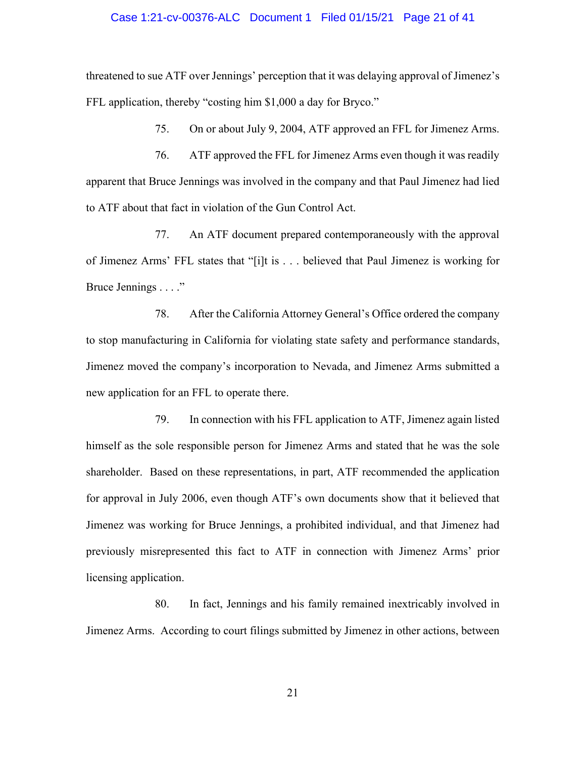### Case 1:21-cv-00376-ALC Document 1 Filed 01/15/21 Page 21 of 41

threatened to sue ATF over Jennings' perception that it was delaying approval of Jimenez's FFL application, thereby "costing him \$1,000 a day for Bryco."

75. On or about July 9, 2004, ATF approved an FFL for Jimenez Arms.

76. ATF approved the FFL for Jimenez Arms even though it was readily apparent that Bruce Jennings was involved in the company and that Paul Jimenez had lied to ATF about that fact in violation of the Gun Control Act.

77. An ATF document prepared contemporaneously with the approval of Jimenez Arms' FFL states that "[i]t is . . . believed that Paul Jimenez is working for Bruce Jennings . . . ."

78. After the California Attorney General's Office ordered the company to stop manufacturing in California for violating state safety and performance standards, Jimenez moved the company's incorporation to Nevada, and Jimenez Arms submitted a new application for an FFL to operate there.

79. In connection with his FFL application to ATF, Jimenez again listed himself as the sole responsible person for Jimenez Arms and stated that he was the sole shareholder. Based on these representations, in part, ATF recommended the application for approval in July 2006, even though ATF's own documents show that it believed that Jimenez was working for Bruce Jennings, a prohibited individual, and that Jimenez had previously misrepresented this fact to ATF in connection with Jimenez Arms' prior licensing application.

80. In fact, Jennings and his family remained inextricably involved in Jimenez Arms. According to court filings submitted by Jimenez in other actions, between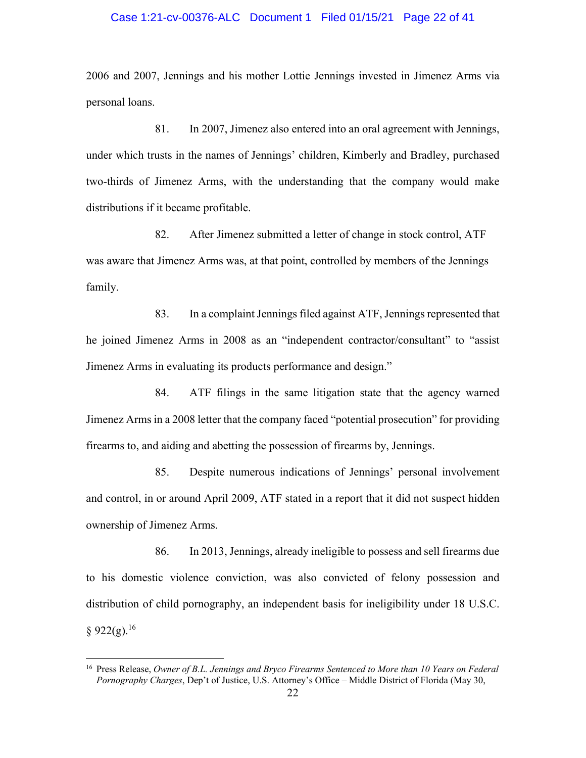### Case 1:21-cv-00376-ALC Document 1 Filed 01/15/21 Page 22 of 41

2006 and 2007, Jennings and his mother Lottie Jennings invested in Jimenez Arms via personal loans.

81. In 2007, Jimenez also entered into an oral agreement with Jennings, under which trusts in the names of Jennings' children, Kimberly and Bradley, purchased two-thirds of Jimenez Arms, with the understanding that the company would make distributions if it became profitable.

82. After Jimenez submitted a letter of change in stock control, ATF was aware that Jimenez Arms was, at that point, controlled by members of the Jennings family.

83. In a complaint Jennings filed against ATF, Jennings represented that he joined Jimenez Arms in 2008 as an "independent contractor/consultant" to "assist Jimenez Arms in evaluating its products performance and design."

84. ATF filings in the same litigation state that the agency warned Jimenez Arms in a 2008 letter that the company faced "potential prosecution" for providing firearms to, and aiding and abetting the possession of firearms by, Jennings.

85. Despite numerous indications of Jennings' personal involvement and control, in or around April 2009, ATF stated in a report that it did not suspect hidden ownership of Jimenez Arms.

86. In 2013, Jennings, already ineligible to possess and sell firearms due to his domestic violence conviction, was also convicted of felony possession and distribution of child pornography, an independent basis for ineligibility under 18 U.S.C.  $§ 922(g).^{16}$ 

<sup>16</sup> Press Release, *Owner of B.L. Jennings and Bryco Firearms Sentenced to More than 10 Years on Federal Pornography Charges*, Dep't of Justice, U.S. Attorney's Office – Middle District of Florida (May 30,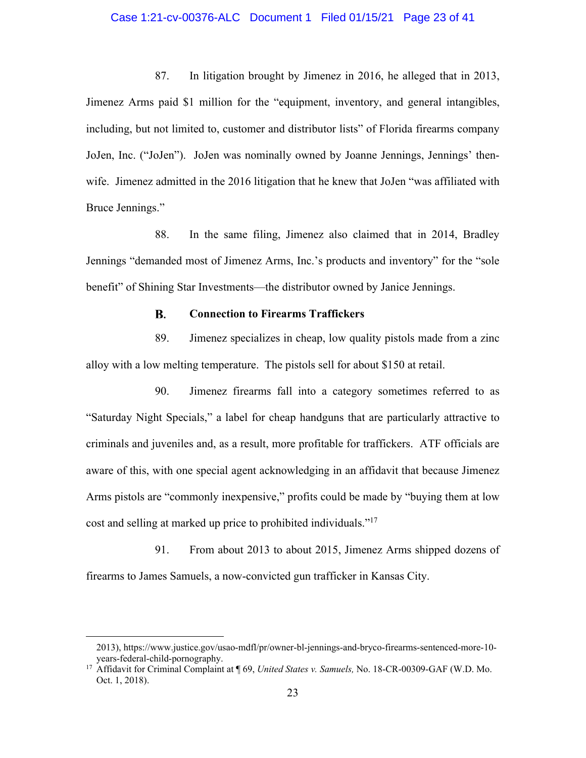## Case 1:21-cv-00376-ALC Document 1 Filed 01/15/21 Page 23 of 41

87. In litigation brought by Jimenez in 2016, he alleged that in 2013, Jimenez Arms paid \$1 million for the "equipment, inventory, and general intangibles, including, but not limited to, customer and distributor lists" of Florida firearms company JoJen, Inc. ("JoJen"). JoJen was nominally owned by Joanne Jennings, Jennings' thenwife. Jimenez admitted in the 2016 litigation that he knew that JoJen "was affiliated with Bruce Jennings."

88. In the same filing, Jimenez also claimed that in 2014, Bradley Jennings "demanded most of Jimenez Arms, Inc.'s products and inventory" for the "sole benefit" of Shining Star Investments—the distributor owned by Janice Jennings.

#### **B. Connection to Firearms Traffickers**

89. Jimenez specializes in cheap, low quality pistols made from a zinc alloy with a low melting temperature. The pistols sell for about \$150 at retail.

90. Jimenez firearms fall into a category sometimes referred to as "Saturday Night Specials," a label for cheap handguns that are particularly attractive to criminals and juveniles and, as a result, more profitable for traffickers. ATF officials are aware of this, with one special agent acknowledging in an affidavit that because Jimenez Arms pistols are "commonly inexpensive," profits could be made by "buying them at low cost and selling at marked up price to prohibited individuals."17

91. From about 2013 to about 2015, Jimenez Arms shipped dozens of firearms to James Samuels, a now-convicted gun trafficker in Kansas City.

<sup>2013),</sup> https://www.justice.gov/usao-mdfl/pr/owner-bl-jennings-and-bryco-firearms-sentenced-more-10-

years-federal-child-pornography. 17 Affidavit for Criminal Complaint at ¶ 69, *United States v. Samuels,* No. 18-CR-00309-GAF (W.D. Mo. Oct. 1, 2018).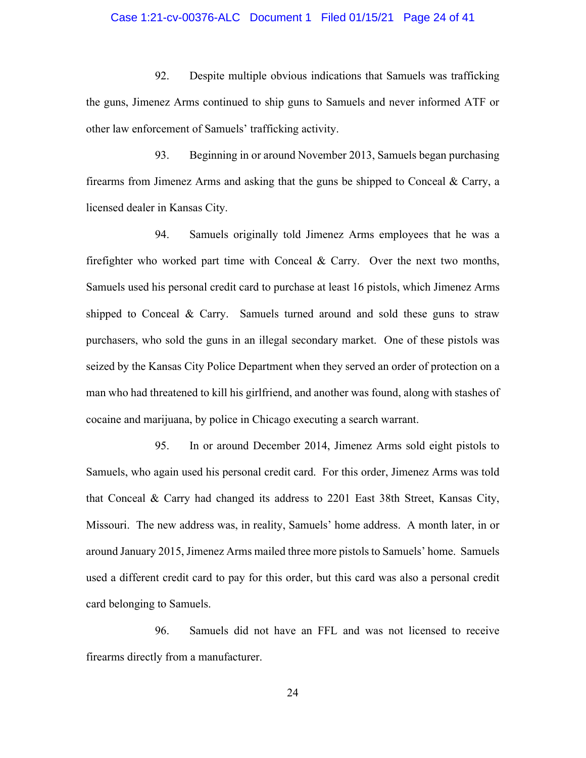### Case 1:21-cv-00376-ALC Document 1 Filed 01/15/21 Page 24 of 41

92. Despite multiple obvious indications that Samuels was trafficking the guns, Jimenez Arms continued to ship guns to Samuels and never informed ATF or other law enforcement of Samuels' trafficking activity.

93. Beginning in or around November 2013, Samuels began purchasing firearms from Jimenez Arms and asking that the guns be shipped to Conceal & Carry, a licensed dealer in Kansas City.

94. Samuels originally told Jimenez Arms employees that he was a firefighter who worked part time with Conceal & Carry. Over the next two months, Samuels used his personal credit card to purchase at least 16 pistols, which Jimenez Arms shipped to Conceal & Carry. Samuels turned around and sold these guns to straw purchasers, who sold the guns in an illegal secondary market. One of these pistols was seized by the Kansas City Police Department when they served an order of protection on a man who had threatened to kill his girlfriend, and another was found, along with stashes of cocaine and marijuana, by police in Chicago executing a search warrant.

95. In or around December 2014, Jimenez Arms sold eight pistols to Samuels, who again used his personal credit card. For this order, Jimenez Arms was told that Conceal & Carry had changed its address to 2201 East 38th Street, Kansas City, Missouri. The new address was, in reality, Samuels' home address. A month later, in or around January 2015, Jimenez Arms mailed three more pistols to Samuels' home. Samuels used a different credit card to pay for this order, but this card was also a personal credit card belonging to Samuels.

96. Samuels did not have an FFL and was not licensed to receive firearms directly from a manufacturer.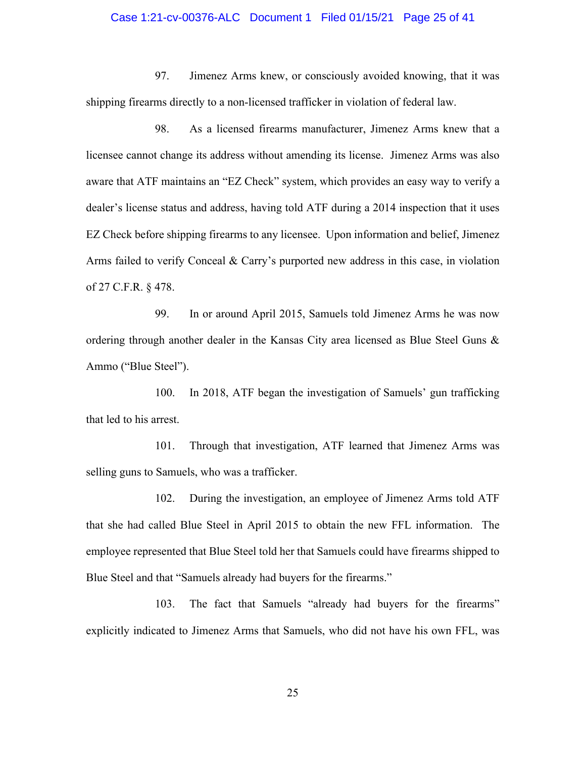# Case 1:21-cv-00376-ALC Document 1 Filed 01/15/21 Page 25 of 41

97. Jimenez Arms knew, or consciously avoided knowing, that it was shipping firearms directly to a non-licensed trafficker in violation of federal law.

98. As a licensed firearms manufacturer, Jimenez Arms knew that a licensee cannot change its address without amending its license. Jimenez Arms was also aware that ATF maintains an "EZ Check" system, which provides an easy way to verify a dealer's license status and address, having told ATF during a 2014 inspection that it uses EZ Check before shipping firearms to any licensee. Upon information and belief, Jimenez Arms failed to verify Conceal & Carry's purported new address in this case, in violation of 27 C.F.R. § 478.

99. In or around April 2015, Samuels told Jimenez Arms he was now ordering through another dealer in the Kansas City area licensed as Blue Steel Guns & Ammo ("Blue Steel").

100. In 2018, ATF began the investigation of Samuels' gun trafficking that led to his arrest.

101. Through that investigation, ATF learned that Jimenez Arms was selling guns to Samuels, who was a trafficker.

102. During the investigation, an employee of Jimenez Arms told ATF that she had called Blue Steel in April 2015 to obtain the new FFL information. The employee represented that Blue Steel told her that Samuels could have firearms shipped to Blue Steel and that "Samuels already had buyers for the firearms."

103. The fact that Samuels "already had buyers for the firearms" explicitly indicated to Jimenez Arms that Samuels, who did not have his own FFL, was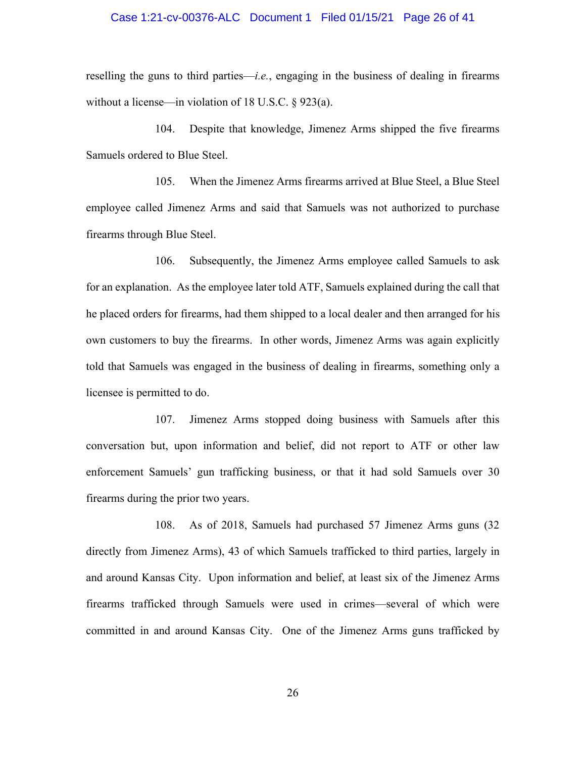### Case 1:21-cv-00376-ALC Document 1 Filed 01/15/21 Page 26 of 41

reselling the guns to third parties—*i.e.*, engaging in the business of dealing in firearms without a license—in violation of 18 U.S.C. § 923(a).

104. Despite that knowledge, Jimenez Arms shipped the five firearms Samuels ordered to Blue Steel.

105. When the Jimenez Arms firearms arrived at Blue Steel, a Blue Steel employee called Jimenez Arms and said that Samuels was not authorized to purchase firearms through Blue Steel.

106. Subsequently, the Jimenez Arms employee called Samuels to ask for an explanation. As the employee later told ATF, Samuels explained during the call that he placed orders for firearms, had them shipped to a local dealer and then arranged for his own customers to buy the firearms. In other words, Jimenez Arms was again explicitly told that Samuels was engaged in the business of dealing in firearms, something only a licensee is permitted to do.

107. Jimenez Arms stopped doing business with Samuels after this conversation but, upon information and belief, did not report to ATF or other law enforcement Samuels' gun trafficking business, or that it had sold Samuels over 30 firearms during the prior two years.

108. As of 2018, Samuels had purchased 57 Jimenez Arms guns (32 directly from Jimenez Arms), 43 of which Samuels trafficked to third parties, largely in and around Kansas City. Upon information and belief, at least six of the Jimenez Arms firearms trafficked through Samuels were used in crimes—several of which were committed in and around Kansas City. One of the Jimenez Arms guns trafficked by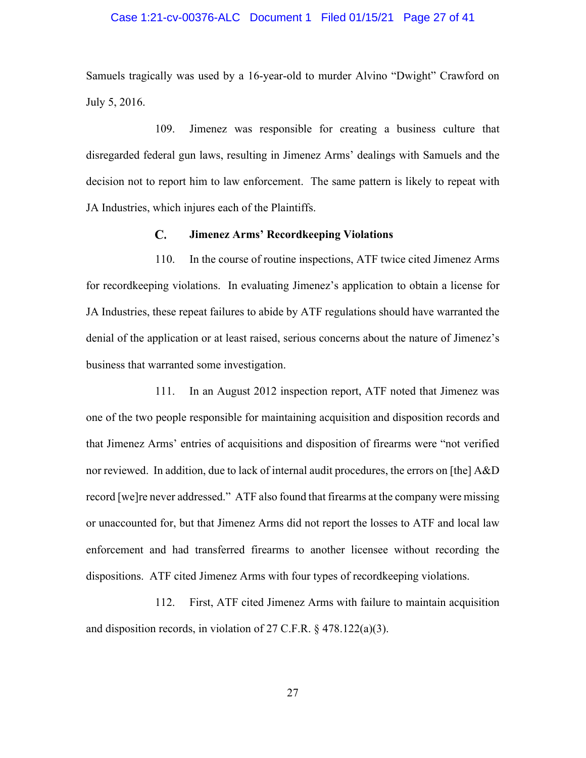### Case 1:21-cv-00376-ALC Document 1 Filed 01/15/21 Page 27 of 41

Samuels tragically was used by a 16-year-old to murder Alvino "Dwight" Crawford on July 5, 2016.

109. Jimenez was responsible for creating a business culture that disregarded federal gun laws, resulting in Jimenez Arms' dealings with Samuels and the decision not to report him to law enforcement. The same pattern is likely to repeat with JA Industries, which injures each of the Plaintiffs.

#### C. **Jimenez Arms' Recordkeeping Violations**

110. In the course of routine inspections, ATF twice cited Jimenez Arms for recordkeeping violations. In evaluating Jimenez's application to obtain a license for JA Industries, these repeat failures to abide by ATF regulations should have warranted the denial of the application or at least raised, serious concerns about the nature of Jimenez's business that warranted some investigation.

111. In an August 2012 inspection report, ATF noted that Jimenez was one of the two people responsible for maintaining acquisition and disposition records and that Jimenez Arms' entries of acquisitions and disposition of firearms were "not verified nor reviewed. In addition, due to lack of internal audit procedures, the errors on [the] A&D record [we]re never addressed." ATF also found that firearms at the company were missing or unaccounted for, but that Jimenez Arms did not report the losses to ATF and local law enforcement and had transferred firearms to another licensee without recording the dispositions. ATF cited Jimenez Arms with four types of recordkeeping violations.

112. First, ATF cited Jimenez Arms with failure to maintain acquisition and disposition records, in violation of 27 C.F.R. § 478.122(a)(3).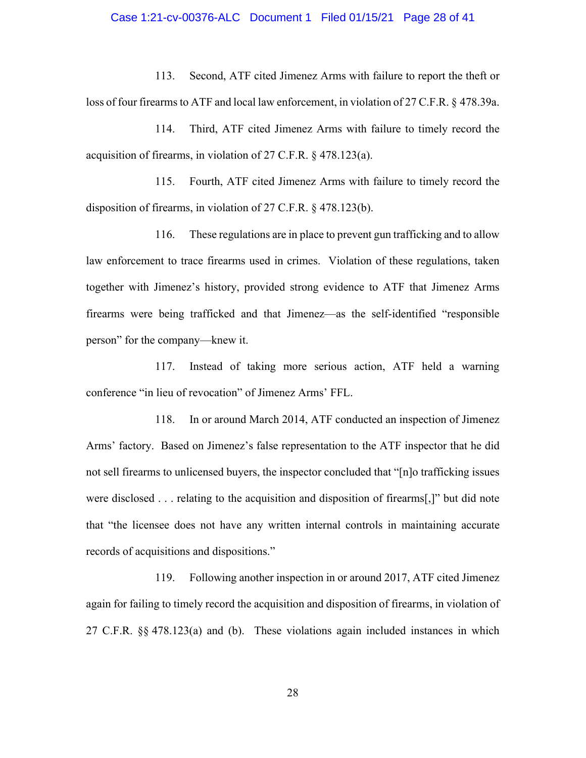# Case 1:21-cv-00376-ALC Document 1 Filed 01/15/21 Page 28 of 41

113. Second, ATF cited Jimenez Arms with failure to report the theft or loss of four firearms to ATF and local law enforcement, in violation of 27 C.F.R. § 478.39a.

114. Third, ATF cited Jimenez Arms with failure to timely record the acquisition of firearms, in violation of 27 C.F.R. § 478.123(a).

115. Fourth, ATF cited Jimenez Arms with failure to timely record the disposition of firearms, in violation of 27 C.F.R. § 478.123(b).

116. These regulations are in place to prevent gun trafficking and to allow law enforcement to trace firearms used in crimes. Violation of these regulations, taken together with Jimenez's history, provided strong evidence to ATF that Jimenez Arms firearms were being trafficked and that Jimenez—as the self-identified "responsible person" for the company—knew it.

117. Instead of taking more serious action, ATF held a warning conference "in lieu of revocation" of Jimenez Arms' FFL.

118. In or around March 2014, ATF conducted an inspection of Jimenez Arms' factory. Based on Jimenez's false representation to the ATF inspector that he did not sell firearms to unlicensed buyers, the inspector concluded that "[n]o trafficking issues were disclosed . . . relating to the acquisition and disposition of firearms[,]" but did note that "the licensee does not have any written internal controls in maintaining accurate records of acquisitions and dispositions."

119. Following another inspection in or around 2017, ATF cited Jimenez again for failing to timely record the acquisition and disposition of firearms, in violation of 27 C.F.R. §§ 478.123(a) and (b). These violations again included instances in which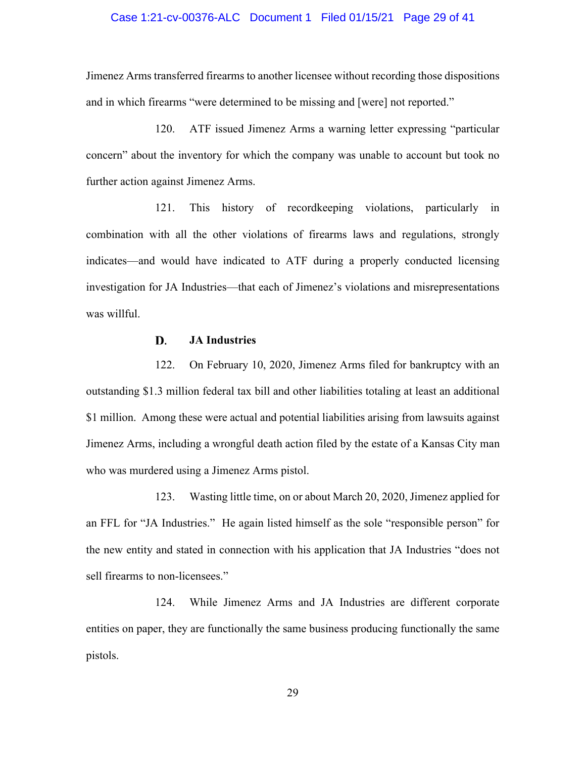# Case 1:21-cv-00376-ALC Document 1 Filed 01/15/21 Page 29 of 41

Jimenez Arms transferred firearms to another licensee without recording those dispositions and in which firearms "were determined to be missing and [were] not reported."

120. ATF issued Jimenez Arms a warning letter expressing "particular concern" about the inventory for which the company was unable to account but took no further action against Jimenez Arms.

121. This history of recordkeeping violations, particularly in combination with all the other violations of firearms laws and regulations, strongly indicates—and would have indicated to ATF during a properly conducted licensing investigation for JA Industries—that each of Jimenez's violations and misrepresentations was willful.

#### D. **JA Industries**

122. On February 10, 2020, Jimenez Arms filed for bankruptcy with an outstanding \$1.3 million federal tax bill and other liabilities totaling at least an additional \$1 million. Among these were actual and potential liabilities arising from lawsuits against Jimenez Arms, including a wrongful death action filed by the estate of a Kansas City man who was murdered using a Jimenez Arms pistol.

123. Wasting little time, on or about March 20, 2020, Jimenez applied for an FFL for "JA Industries." He again listed himself as the sole "responsible person" for the new entity and stated in connection with his application that JA Industries "does not sell firearms to non-licensees."

124. While Jimenez Arms and JA Industries are different corporate entities on paper, they are functionally the same business producing functionally the same pistols.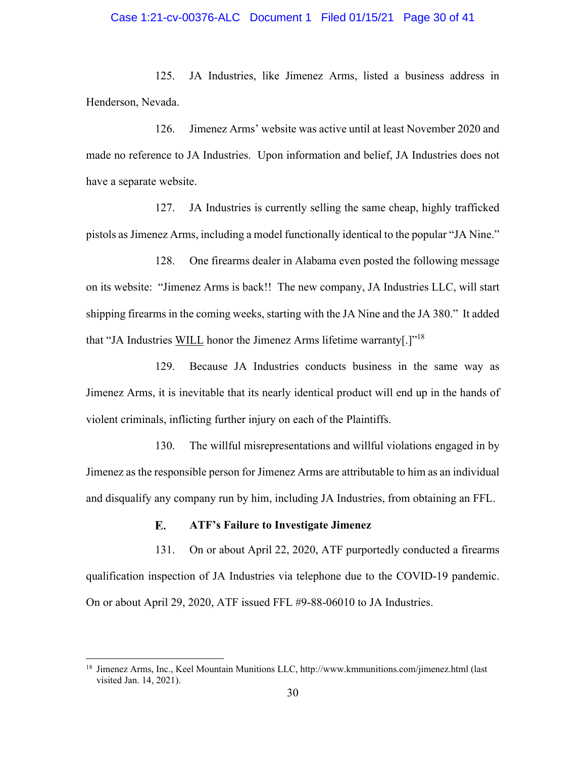## Case 1:21-cv-00376-ALC Document 1 Filed 01/15/21 Page 30 of 41

125. JA Industries, like Jimenez Arms, listed a business address in Henderson, Nevada.

126. Jimenez Arms' website was active until at least November 2020 and made no reference to JA Industries. Upon information and belief, JA Industries does not have a separate website.

127. JA Industries is currently selling the same cheap, highly trafficked pistols as Jimenez Arms, including a model functionally identical to the popular "JA Nine."

128. One firearms dealer in Alabama even posted the following message on its website: "Jimenez Arms is back!! The new company, JA Industries LLC, will start shipping firearms in the coming weeks, starting with the JA Nine and the JA 380." It added that "JA Industries WILL honor the Jimenez Arms lifetime warranty[.]"18

129. Because JA Industries conducts business in the same way as Jimenez Arms, it is inevitable that its nearly identical product will end up in the hands of violent criminals, inflicting further injury on each of the Plaintiffs.

130. The willful misrepresentations and willful violations engaged in by Jimenez as the responsible person for Jimenez Arms are attributable to him as an individual and disqualify any company run by him, including JA Industries, from obtaining an FFL.

#### E. **ATF's Failure to Investigate Jimenez**

131. On or about April 22, 2020, ATF purportedly conducted a firearms qualification inspection of JA Industries via telephone due to the COVID-19 pandemic. On or about April 29, 2020, ATF issued FFL #9-88-06010 to JA Industries.

<sup>18</sup> Jimenez Arms, Inc., Keel Mountain Munitions LLC, http://www.kmmunitions.com/jimenez.html (last visited Jan. 14, 2021).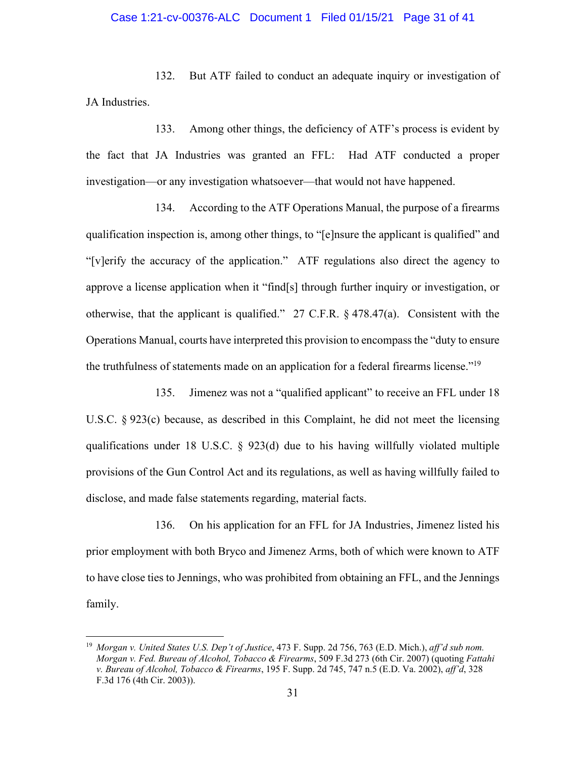## Case 1:21-cv-00376-ALC Document 1 Filed 01/15/21 Page 31 of 41

132. But ATF failed to conduct an adequate inquiry or investigation of JA Industries.

133. Among other things, the deficiency of ATF's process is evident by the fact that JA Industries was granted an FFL: Had ATF conducted a proper investigation—or any investigation whatsoever—that would not have happened.

134. According to the ATF Operations Manual, the purpose of a firearms qualification inspection is, among other things, to "[e]nsure the applicant is qualified" and "[v]erify the accuracy of the application." ATF regulations also direct the agency to approve a license application when it "find[s] through further inquiry or investigation, or otherwise, that the applicant is qualified." 27 C.F.R. § 478.47(a). Consistent with the Operations Manual, courts have interpreted this provision to encompass the "duty to ensure the truthfulness of statements made on an application for a federal firearms license."<sup>19</sup>

135. Jimenez was not a "qualified applicant" to receive an FFL under 18 U.S.C. § 923(c) because, as described in this Complaint, he did not meet the licensing qualifications under 18 U.S.C. § 923(d) due to his having willfully violated multiple provisions of the Gun Control Act and its regulations, as well as having willfully failed to disclose, and made false statements regarding, material facts.

136. On his application for an FFL for JA Industries, Jimenez listed his prior employment with both Bryco and Jimenez Arms, both of which were known to ATF to have close ties to Jennings, who was prohibited from obtaining an FFL, and the Jennings family.

<sup>19</sup> *Morgan v. United States U.S. Dep't of Justice*, 473 F. Supp. 2d 756, 763 (E.D. Mich.), *aff'd sub nom. Morgan v. Fed. Bureau of Alcohol, Tobacco & Firearms*, 509 F.3d 273 (6th Cir. 2007) (quoting *Fattahi v. Bureau of Alcohol, Tobacco & Firearms*, 195 F. Supp. 2d 745, 747 n.5 (E.D. Va. 2002), *aff'd*, 328 F.3d 176 (4th Cir. 2003)).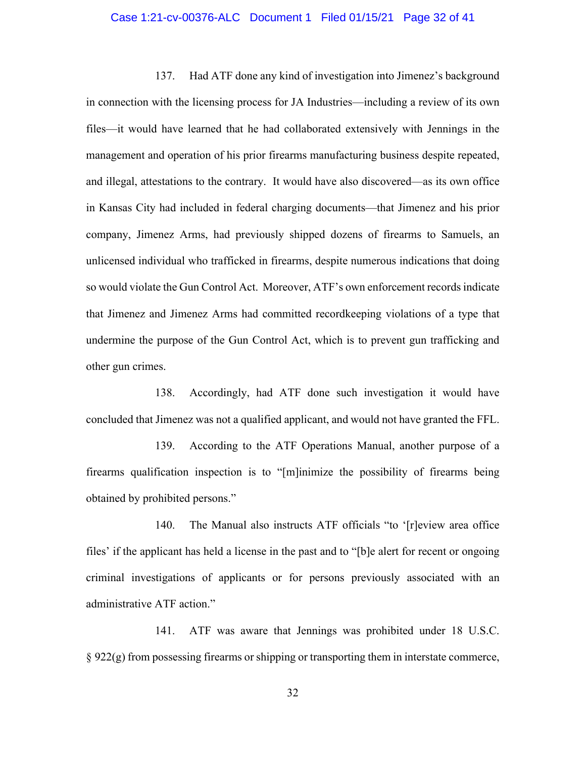### Case 1:21-cv-00376-ALC Document 1 Filed 01/15/21 Page 32 of 41

137. Had ATF done any kind of investigation into Jimenez's background in connection with the licensing process for JA Industries—including a review of its own files—it would have learned that he had collaborated extensively with Jennings in the management and operation of his prior firearms manufacturing business despite repeated, and illegal, attestations to the contrary. It would have also discovered—as its own office in Kansas City had included in federal charging documents—that Jimenez and his prior company, Jimenez Arms, had previously shipped dozens of firearms to Samuels, an unlicensed individual who trafficked in firearms, despite numerous indications that doing so would violate the Gun Control Act. Moreover, ATF's own enforcement records indicate that Jimenez and Jimenez Arms had committed recordkeeping violations of a type that undermine the purpose of the Gun Control Act, which is to prevent gun trafficking and other gun crimes.

138. Accordingly, had ATF done such investigation it would have concluded that Jimenez was not a qualified applicant, and would not have granted the FFL.

139. According to the ATF Operations Manual, another purpose of a firearms qualification inspection is to "[m]inimize the possibility of firearms being obtained by prohibited persons."

140. The Manual also instructs ATF officials "to '[r]eview area office files' if the applicant has held a license in the past and to "[b]e alert for recent or ongoing criminal investigations of applicants or for persons previously associated with an administrative ATF action."

141. ATF was aware that Jennings was prohibited under 18 U.S.C. § 922(g) from possessing firearms or shipping or transporting them in interstate commerce,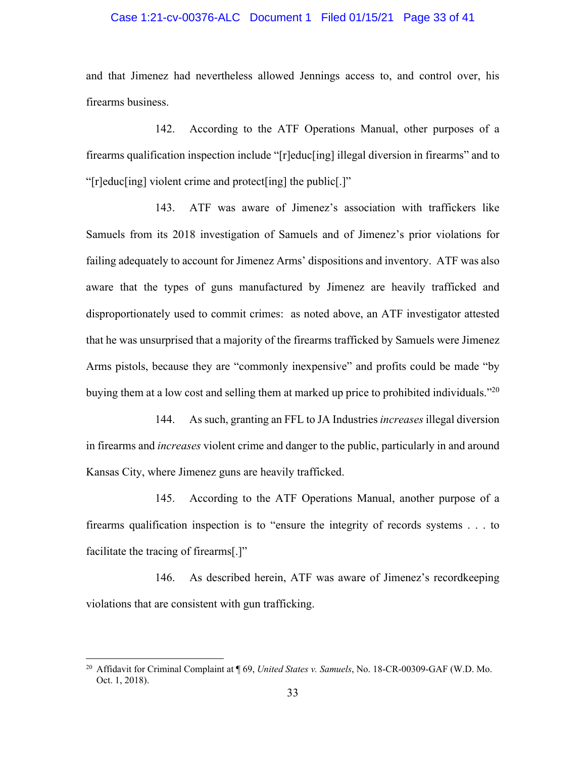## Case 1:21-cv-00376-ALC Document 1 Filed 01/15/21 Page 33 of 41

and that Jimenez had nevertheless allowed Jennings access to, and control over, his firearms business.

142. According to the ATF Operations Manual, other purposes of a firearms qualification inspection include "[r]educ[ing] illegal diversion in firearms" and to "[r]educ[ing] violent crime and protect[ing] the public[.]"

143. ATF was aware of Jimenez's association with traffickers like Samuels from its 2018 investigation of Samuels and of Jimenez's prior violations for failing adequately to account for Jimenez Arms' dispositions and inventory. ATF was also aware that the types of guns manufactured by Jimenez are heavily trafficked and disproportionately used to commit crimes: as noted above, an ATF investigator attested that he was unsurprised that a majority of the firearms trafficked by Samuels were Jimenez Arms pistols, because they are "commonly inexpensive" and profits could be made "by buying them at a low cost and selling them at marked up price to prohibited individuals.<sup>220</sup>

144. As such, granting an FFL to JA Industries *increases* illegal diversion in firearms and *increases* violent crime and danger to the public, particularly in and around Kansas City, where Jimenez guns are heavily trafficked.

145. According to the ATF Operations Manual, another purpose of a firearms qualification inspection is to "ensure the integrity of records systems . . . to facilitate the tracing of firearms[.]"

146. As described herein, ATF was aware of Jimenez's recordkeeping violations that are consistent with gun trafficking.

<sup>20</sup> Affidavit for Criminal Complaint at ¶ 69, *United States v. Samuels*, No. 18-CR-00309-GAF (W.D. Mo. Oct. 1, 2018).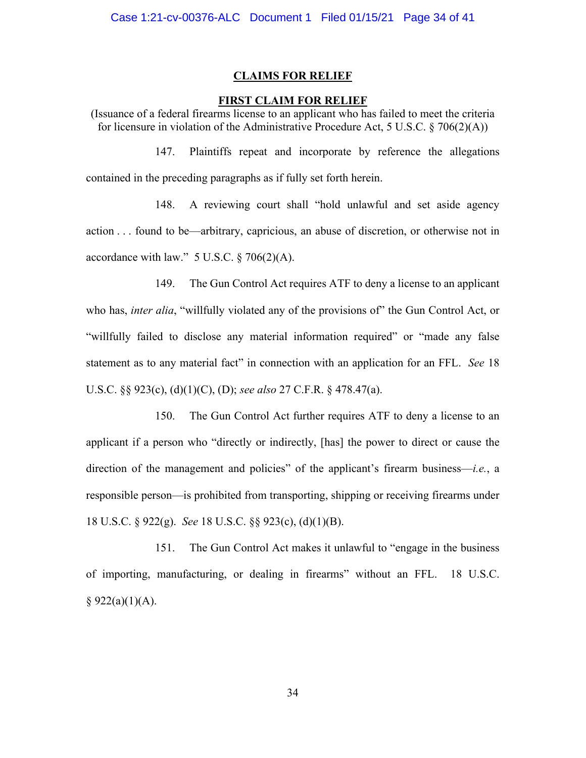### **CLAIMS FOR RELIEF**

### **FIRST CLAIM FOR RELIEF**

(Issuance of a federal firearms license to an applicant who has failed to meet the criteria for licensure in violation of the Administrative Procedure Act, 5 U.S.C. § 706(2)(A))

147. Plaintiffs repeat and incorporate by reference the allegations contained in the preceding paragraphs as if fully set forth herein.

148. A reviewing court shall "hold unlawful and set aside agency action . . . found to be—arbitrary, capricious, an abuse of discretion, or otherwise not in accordance with law."  $5$  U.S.C.  $\S$  706(2)(A).

149. The Gun Control Act requires ATF to deny a license to an applicant who has, *inter alia*, "willfully violated any of the provisions of" the Gun Control Act, or "willfully failed to disclose any material information required" or "made any false statement as to any material fact" in connection with an application for an FFL. *See* 18 U.S.C. §§ 923(c), (d)(1)(C), (D); *see also* 27 C.F.R. § 478.47(a).

150. The Gun Control Act further requires ATF to deny a license to an applicant if a person who "directly or indirectly, [has] the power to direct or cause the direction of the management and policies" of the applicant's firearm business—*i.e.*, a responsible person—is prohibited from transporting, shipping or receiving firearms under 18 U.S.C. § 922(g). *See* 18 U.S.C. §§ 923(c), (d)(1)(B).

151. The Gun Control Act makes it unlawful to "engage in the business of importing, manufacturing, or dealing in firearms" without an FFL. 18 U.S.C.  $§$  922(a)(1)(A).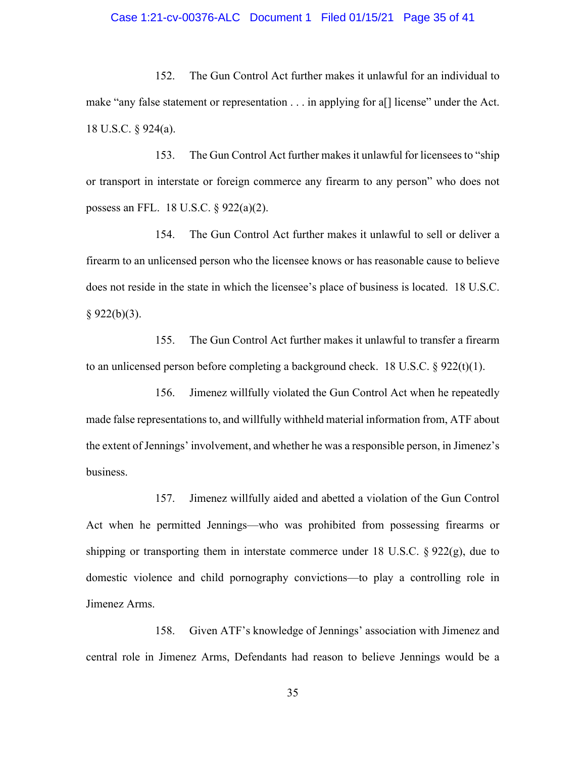# Case 1:21-cv-00376-ALC Document 1 Filed 01/15/21 Page 35 of 41

152. The Gun Control Act further makes it unlawful for an individual to make "any false statement or representation . . . in applying for a[] license" under the Act. 18 U.S.C. § 924(a).

153. The Gun Control Act further makes it unlawful for licensees to "ship or transport in interstate or foreign commerce any firearm to any person" who does not possess an FFL. 18 U.S.C. § 922(a)(2).

154. The Gun Control Act further makes it unlawful to sell or deliver a firearm to an unlicensed person who the licensee knows or has reasonable cause to believe does not reside in the state in which the licensee's place of business is located. 18 U.S.C.  $§ 922(b)(3).$ 

155. The Gun Control Act further makes it unlawful to transfer a firearm to an unlicensed person before completing a background check. 18 U.S.C. § 922(t)(1).

156. Jimenez willfully violated the Gun Control Act when he repeatedly made false representations to, and willfully withheld material information from, ATF about the extent of Jennings' involvement, and whether he was a responsible person, in Jimenez's business.

157. Jimenez willfully aided and abetted a violation of the Gun Control Act when he permitted Jennings—who was prohibited from possessing firearms or shipping or transporting them in interstate commerce under 18 U.S.C.  $\S 922(g)$ , due to domestic violence and child pornography convictions—to play a controlling role in Jimenez Arms.

158. Given ATF's knowledge of Jennings' association with Jimenez and central role in Jimenez Arms, Defendants had reason to believe Jennings would be a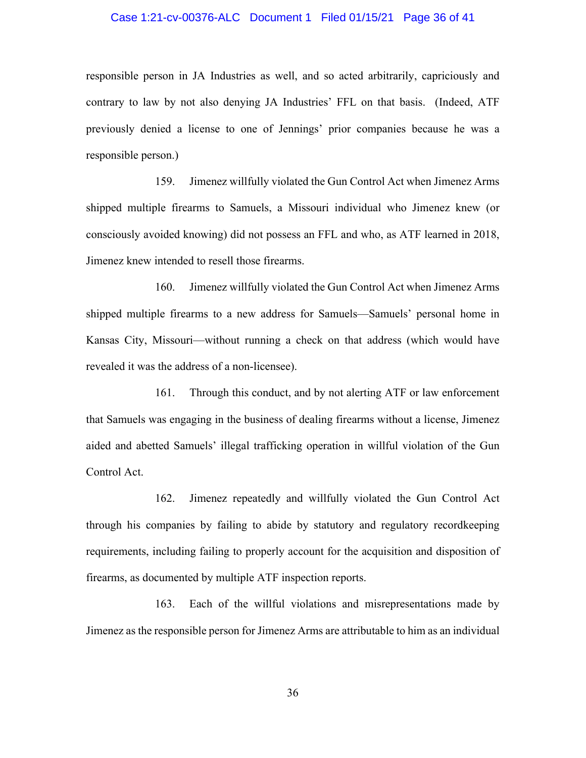### Case 1:21-cv-00376-ALC Document 1 Filed 01/15/21 Page 36 of 41

responsible person in JA Industries as well, and so acted arbitrarily, capriciously and contrary to law by not also denying JA Industries' FFL on that basis. (Indeed, ATF previously denied a license to one of Jennings' prior companies because he was a responsible person.)

159. Jimenez willfully violated the Gun Control Act when Jimenez Arms shipped multiple firearms to Samuels, a Missouri individual who Jimenez knew (or consciously avoided knowing) did not possess an FFL and who, as ATF learned in 2018, Jimenez knew intended to resell those firearms.

160. Jimenez willfully violated the Gun Control Act when Jimenez Arms shipped multiple firearms to a new address for Samuels—Samuels' personal home in Kansas City, Missouri—without running a check on that address (which would have revealed it was the address of a non-licensee).

161. Through this conduct, and by not alerting ATF or law enforcement that Samuels was engaging in the business of dealing firearms without a license, Jimenez aided and abetted Samuels' illegal trafficking operation in willful violation of the Gun Control Act.

162. Jimenez repeatedly and willfully violated the Gun Control Act through his companies by failing to abide by statutory and regulatory recordkeeping requirements, including failing to properly account for the acquisition and disposition of firearms, as documented by multiple ATF inspection reports.

163. Each of the willful violations and misrepresentations made by Jimenez as the responsible person for Jimenez Arms are attributable to him as an individual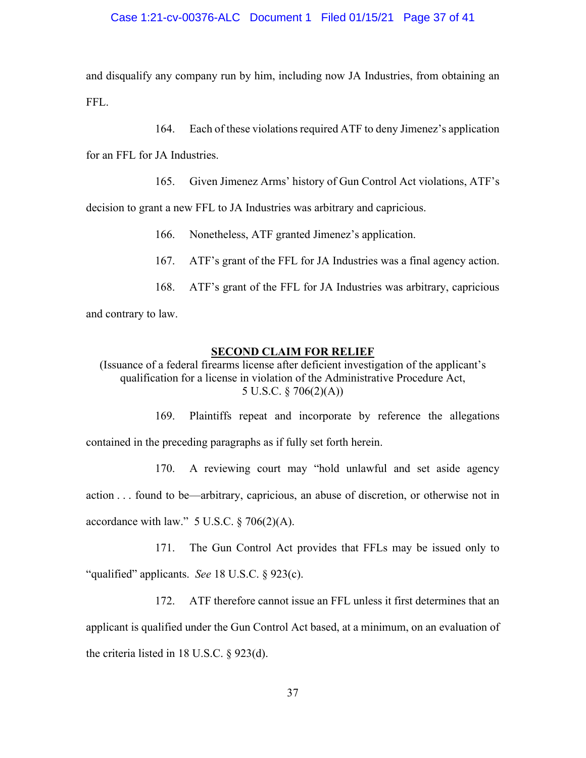## Case 1:21-cv-00376-ALC Document 1 Filed 01/15/21 Page 37 of 41

and disqualify any company run by him, including now JA Industries, from obtaining an FFL.

164. Each of these violations required ATF to deny Jimenez's application

for an FFL for JA Industries.

165. Given Jimenez Arms' history of Gun Control Act violations, ATF's

decision to grant a new FFL to JA Industries was arbitrary and capricious.

- 166. Nonetheless, ATF granted Jimenez's application.
- 167. ATF's grant of the FFL for JA Industries was a final agency action.
- 168. ATF's grant of the FFL for JA Industries was arbitrary, capricious

and contrary to law.

### **SECOND CLAIM FOR RELIEF**

(Issuance of a federal firearms license after deficient investigation of the applicant's qualification for a license in violation of the Administrative Procedure Act, 5 U.S.C. § 706(2)(A))

169. Plaintiffs repeat and incorporate by reference the allegations contained in the preceding paragraphs as if fully set forth herein.

170. A reviewing court may "hold unlawful and set aside agency action . . . found to be—arbitrary, capricious, an abuse of discretion, or otherwise not in accordance with law."  $5$  U.S.C.  $\S$  706(2)(A).

171. The Gun Control Act provides that FFLs may be issued only to "qualified" applicants. *See* 18 U.S.C. § 923(c).

172. ATF therefore cannot issue an FFL unless it first determines that an applicant is qualified under the Gun Control Act based, at a minimum, on an evaluation of the criteria listed in 18 U.S.C. § 923(d).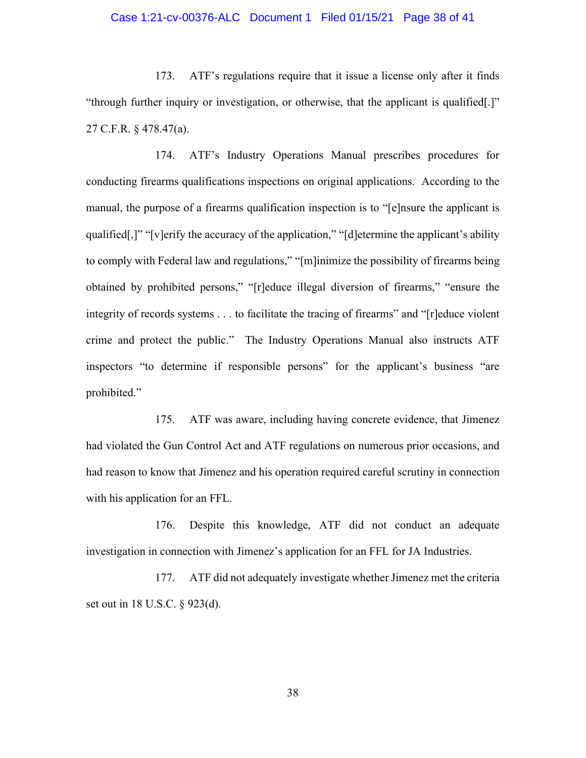## Case 1:21-cv-00376-ALC Document 1 Filed 01/15/21 Page 38 of 41

173. ATF's regulations require that it issue a license only after it finds "through further inquiry or investigation, or otherwise, that the applicant is qualified[.]" 27 C.F.R. § 478.47(a).

174. ATF's Industry Operations Manual prescribes procedures for conducting firearms qualifications inspections on original applications. According to the manual, the purpose of a firearms qualification inspection is to "[e]nsure the applicant is qualified[,]" "[v]erify the accuracy of the application," "[d]etermine the applicant's ability to comply with Federal law and regulations," "[m]inimize the possibility of firearms being obtained by prohibited persons," "[r]educe illegal diversion of firearms," "ensure the integrity of records systems . . . to facilitate the tracing of firearms" and "[r]educe violent crime and protect the public." The Industry Operations Manual also instructs ATF inspectors "to determine if responsible persons" for the applicant's business "are prohibited."

175. ATF was aware, including having concrete evidence, that Jimenez had violated the Gun Control Act and ATF regulations on numerous prior occasions, and had reason to know that Jimenez and his operation required careful scrutiny in connection with his application for an FFL.

176. Despite this knowledge, ATF did not conduct an adequate investigation in connection with Jimenez's application for an FFL for JA Industries.

177. ATF did not adequately investigate whether Jimenez met the criteria set out in 18 U.S.C. § 923(d).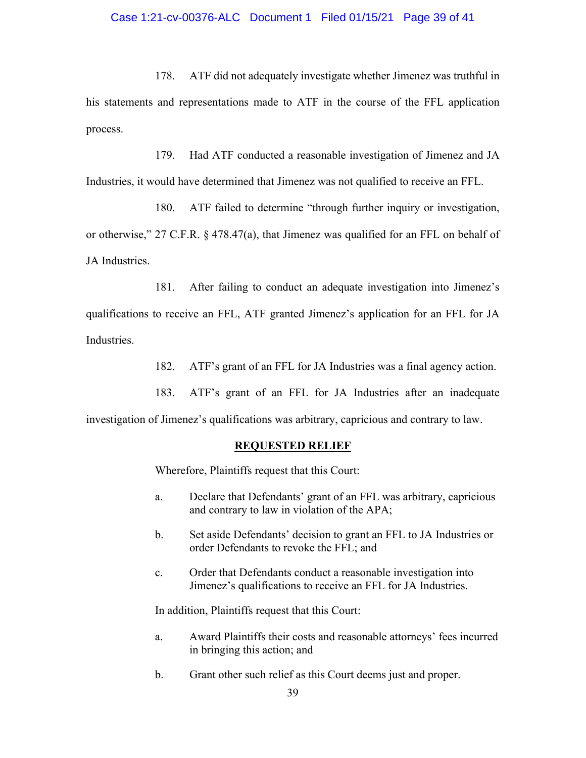# Case 1:21-cv-00376-ALC Document 1 Filed 01/15/21 Page 39 of 41

178. ATF did not adequately investigate whether Jimenez was truthful in his statements and representations made to ATF in the course of the FFL application process.

179. Had ATF conducted a reasonable investigation of Jimenez and JA Industries, it would have determined that Jimenez was not qualified to receive an FFL.

180. ATF failed to determine "through further inquiry or investigation, or otherwise," 27 C.F.R. § 478.47(a), that Jimenez was qualified for an FFL on behalf of JA Industries.

181. After failing to conduct an adequate investigation into Jimenez's qualifications to receive an FFL, ATF granted Jimenez's application for an FFL for JA Industries.

182. ATF's grant of an FFL for JA Industries was a final agency action.

183. ATF's grant of an FFL for JA Industries after an inadequate

investigation of Jimenez's qualifications was arbitrary, capricious and contrary to law.

### **REQUESTED RELIEF**

Wherefore, Plaintiffs request that this Court:

- a. Declare that Defendants' grant of an FFL was arbitrary, capricious and contrary to law in violation of the APA;
- b. Set aside Defendants' decision to grant an FFL to JA Industries or order Defendants to revoke the FFL; and
- c. Order that Defendants conduct a reasonable investigation into Jimenez's qualifications to receive an FFL for JA Industries.

In addition, Plaintiffs request that this Court:

- a. Award Plaintiffs their costs and reasonable attorneys' fees incurred in bringing this action; and
- b. Grant other such relief as this Court deems just and proper.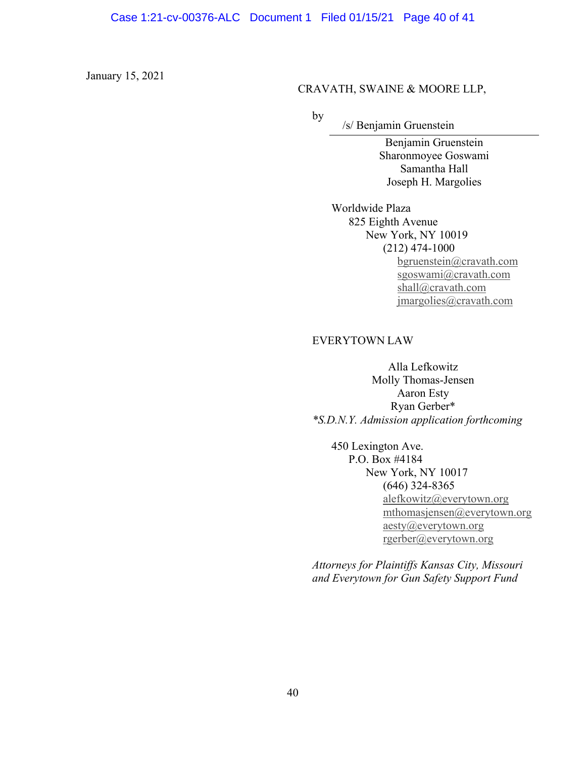January 15, 2021

### CRAVATH, SWAINE & MOORE LLP,

by

/s/ Benjamin Gruenstein

Benjamin Gruenstein Sharonmoyee Goswami Samantha Hall Joseph H. Margolies

 Worldwide Plaza 825 Eighth Avenue New York, NY 10019 (212) 474-1000 bgruenstein@cravath.com sgoswami@cravath.com shall@cravath.com jmargolies@cravath.com

### EVERYTOWN LAW

Alla Lefkowitz Molly Thomas-Jensen Aaron Esty Ryan Gerber\* *\*S.D.N.Y. Admission application forthcoming*

450 Lexington Ave. P.O. Box #4184 New York, NY 10017 (646) 324-8365 alefkowitz@everytown.org mthomasjensen@everytown.org aesty@everytown.org rgerber@everytown.org

*Attorneys for Plaintiffs Kansas City, Missouri and Everytown for Gun Safety Support Fund*